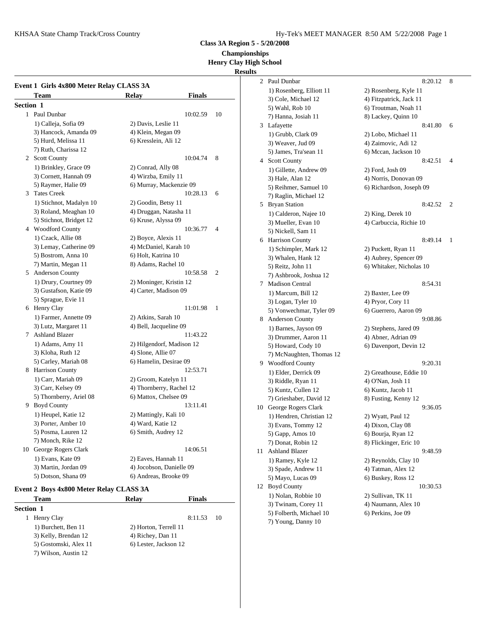KHSAA State Champ Track/Cross Country The Country Hy-Tek's MEET MANAGER 8:50 AM 5/22/2008 Page 1

**Class 3A Region 5 - 5/20/2008**

**Championships**

#### **Henry Clay High School Results**

|           | Event 1 Girls 4x800 Meter Relay CLASS 3A |                           |               |                |    | $1)$ Ro          |
|-----------|------------------------------------------|---------------------------|---------------|----------------|----|------------------|
|           | Team                                     | <b>Relay</b>              | <b>Finals</b> |                |    | $3)$ Co          |
| Section 1 |                                          |                           |               |                |    | 5) Wε            |
|           | 1 Paul Dunbar                            |                           | 10:02.59      | 10             |    | 7) Ha            |
|           | 1) Calleja, Sofia 09                     | 2) Davis, Leslie 11       |               |                |    | 3 Lafay          |
|           | 3) Hancock, Amanda 09                    | 4) Klein, Megan 09        |               |                |    | $1)$ Gr          |
|           | 5) Hurd, Melissa 11                      | 6) Kresslein, Ali 12      |               |                |    | $3)$ We          |
|           | 7) Ruth, Charissa 12                     |                           |               |                |    | 5) Jan           |
|           | 2 Scott County                           |                           | 10:04.74      | 8              |    | 4 Scott          |
|           | 1) Brinkley, Grace 09                    | 2) Conrad, Ally 08        |               |                |    | 1) Gil           |
|           | 3) Cornett, Hannah 09                    | 4) Wirzba, Emily 11       |               |                |    | 3) Ha            |
|           | 5) Raymer, Halie 09                      | 6) Murray, Mackenzie 09   |               |                |    | 5) Re            |
|           | 3 Tates Creek                            |                           | 10:28.13      | 6              |    | 7) Ra            |
|           | 1) Stichnot, Madalyn 10                  | 2) Goodin, Betsy 11       |               |                |    | 5 Bryan          |
|           | 3) Roland, Meaghan 10                    | 4) Druggan, Natasha 11    |               |                |    | 1) Ca            |
|           | 5) Stichnot, Bridget 12                  | 6) Kruse, Alyssa 09       |               |                |    | 3) Mu            |
|           | 4 Woodford County                        |                           | 10:36.77      | 4              |    | 5) Nio           |
|           | 1) Czack, Allie 08                       | 2) Boyce, Alexis 11       |               |                |    | 6 Harris         |
|           | 3) Lemay, Catherine 09                   | 4) McDaniel, Karah 10     |               |                |    | $1)$ Sc          |
|           | 5) Bostrom, Anna 10                      | 6) Holt, Katrina 10       |               |                |    | 3) Wł            |
|           | 7) Martin, Megan 11                      | 8) Adams, Rachel 10       |               |                |    | 5) Re            |
|           | 5 Anderson County                        |                           | 10:58.58      | $\overline{2}$ |    | 7) As            |
|           | 1) Drury, Courtney 09                    | 2) Moninger, Kristin 12   |               |                |    | 7 Madis          |
|           | 3) Gustafson, Katie 09                   | 4) Carter, Madison 09     |               |                |    | $1)$ Με          |
|           | 5) Sprague, Evie 11                      |                           |               |                |    |                  |
|           | 6 Henry Clay                             |                           | 11:01.98      | 1              |    | $3)$ Lo<br>5) Vo |
|           | 1) Farmer, Annette 09                    | 2) Atkins, Sarah 10       |               |                |    | 8 Ander          |
|           | 3) Lutz, Margaret 11                     | 4) Bell, Jacqueline 09    |               |                |    |                  |
|           | 7 Ashland Blazer                         |                           | 11:43.22      |                |    | $1)$ Ba          |
|           | 1) Adams, Amy 11                         | 2) Hilgendorf, Madison 12 |               |                |    | 3) Dr            |
|           | 3) Kloha, Ruth 12                        | 4) Slone, Allie 07        |               |                |    | 5) Ho            |
|           | 5) Carley, Mariah 08                     | 6) Hamelin, Desirae 09    |               |                |    | 7) Mc<br>9 Wood  |
|           | 8 Harrison County                        |                           | 12:53.71      |                |    |                  |
|           | 1) Carr, Mariah 09                       | 2) Groom, Katelyn 11      |               |                |    | $1)$ Elo         |
|           | 3) Carr, Kelsey 09                       | 4) Thornberry, Rachel 12  |               |                |    | 3) Rio           |
|           | 5) Thornberry, Ariel 08                  | 6) Mattox, Chelsee 09     |               |                |    | 5) Ku            |
|           | 9 Boyd County                            |                           | 13:11.41      |                |    | 7) Gri           |
|           | 1) Heupel, Katie 12                      | 2) Mattingly, Kali 10     |               |                |    | 10 Georg         |
|           | 3) Porter, Amber 10                      | 4) Ward, Katie 12         |               |                |    | $1)$ He          |
|           | 5) Posma, Lauren 12                      | 6) Smith, Audrey 12       |               |                |    | $3)$ Ev          |
|           | 7) Monch, Rike 12                        |                           |               |                |    | 5) Ga            |
|           | 10 George Rogers Clark                   |                           | 14:06.51      |                |    | 7) Do            |
|           | 1) Evans, Kate 09                        | 2) Eaves, Hannah 11       |               |                | 11 | Ashla            |
|           | 3) Martin, Jordan 09                     | 4) Jocobson, Danielle 09  |               |                |    | 1) Ra            |
|           | 5) Dotson, Shana 09                      | 6) Andreas, Brooke 09     |               |                |    | 3) Sp:           |
|           |                                          |                           |               |                |    | 5) Ma            |

#### **Event 2 Boys 4x800 Meter Relay CLASS 3A**

| <b>Team</b>           | <b>Relay</b>          | <b>Finals</b> |    | 1 J INO             |
|-----------------------|-----------------------|---------------|----|---------------------|
| <b>Section 1</b>      |                       |               |    | $3)$ Tw<br>$5)$ Fol |
| Henry Clay            |                       | 8:11.53       | 10 | $7)$ Yo             |
| 1) Burchett, Ben 11   | 2) Horton, Terrell 11 |               |    |                     |
| 3) Kelly, Brendan 12  | 4) Richey, Dan 11     |               |    |                     |
| 5) Gostomski, Alex 11 | 6) Lester, Jackson 12 |               |    |                     |
| 7) Wilson, Austin 12  |                       |               |    |                     |

2 Paul Dunbar 8:20.12 8 1) Rosenberg, Elliott 11 2) Rosenberg, Kyle 11 3) Cole, Michael 12 4) Fitzpatrick, Jack 11 5) Wahl, Rob 10 6) Troutman, Noah 11 7) Hanna, Josiah 11 8) Lackey, Quinn 10 3 Lafayette 8:41.80 6 1) Grubb, Clark 09 2) Lobo, Michael 11 3) Weaver, Jud 09 4) Zaimovic, Adi 12 5) James, Tra'sean 11 6) Mccan, Jackson 10 4 Scott County 8:42.51 4 1) Gillette, Andrew 09 2) Ford, Josh 09 3) Hale, Alan 12 4) Norris, Donovan 09 5) Reihmer, Samuel 10 6) Richardson, Joseph 09 7) Raglin, Michael 12 5 Bryan Station 8:42.52 2 1) Calderon, Najee 10 2) King, Derek 10 3) Mueller, Evan 10 4) Carbuccia, Richie 10 5) Nickell, Sam 11 6 Harrison County 8:49.14 1 1) Schimpler, Mark 12 2) Puckett, Ryan 11 3) Whalen, Hank 12 4) Aubrey, Spencer 09 5) Reitz, John 11 6) Whitaker, Nicholas 10 7) Ashbrook, Joshua 12 7 Madison Central 8:54.31 1) Marcum, Bill 12 2) Baxter, Lee 09 3) Logan, Tyler 10 4) Pryor, Cory 11 5) Vonwechmar, Tyler 09 6) Guerrero, Aaron 09 8 Anderson County 9:08.86 1) Barnes, Jayson 09 2) Stephens, Jared 09 3) Drummer, Aaron 11 4) Abner, Adrian 09 5) Howard, Cody 10 6) Davenport, Devin 12 7) McNaughten, Thomas 12 9 Woodford County 9:20.31 1) Elder, Derrick 09 2) Greathouse, Eddie 10 3) Riddle, Ryan 11 4) O'Nan, Josh 11 5) Kuntz, Cullen 12 6) Kuntz, Jacob 11 7) Grieshaber, David 12 8) Fusting, Kenny 12 10 George Rogers Clark 9:36.05 1) Hendren, Christian 12 2) Wyatt, Paul 12 3) Evans, Tommy 12 4) Dixon, Clay 08 5) Gapp, Amos 10 6) Bourja, Ryan 12 7) Donat, Robin 12 8) Flickinger, Eric 10 11 Ashland Blazer 9:48.59 1) Ramey, Kyle 12 2) Reynolds, Clay 10 3) Spade, Andrew 11 4) Tatman, Alex 12 5) Mayo, Lucas 09 6) Buskey, Ross 12 12 Boyd County 10:30.53 1) Nolan, Robbie 10 2) Sullivan, TK 11 3) Twinam, Corey 11 4) Naumann, Alex 10 5) Folberth, Michael 10 6) Perkins, Joe 09 7) Young, Danny 10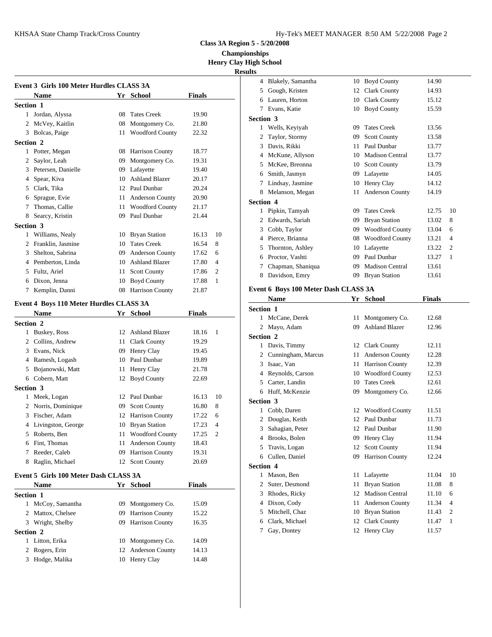KHSAA State Champ Track/Cross Country

**Class 3A Region 5 - 5/20/2008**

**Championships Henry Clay High School**

### **Results**

|                | Event 3 Girls 100 Meter Hurdles CLASS 3A |                    |               |                | Blake<br>4            |
|----------------|------------------------------------------|--------------------|---------------|----------------|-----------------------|
|                | <b>Name</b>                              | Yr School          | <b>Finals</b> |                | 5<br>Goug             |
| Section 1      |                                          |                    |               |                | Laure<br>6            |
|                | 1 Jordan, Alyssa                         | 08 Tates Creek     | 19.90         |                | Evans<br>7            |
|                | 2 McVey, Kaitlin                         | 08 Montgomery Co.  | 21.80         |                | <b>Section 3</b>      |
|                | 3 Bolcas, Paige                          | 11 Woodford County | 22.32         |                | Wells<br>$\mathbf{1}$ |
| Section 2      |                                          |                    |               |                | 2<br>Taylo            |
|                | 1 Potter, Megan                          | 08 Harrison County | 18.77         |                | 3<br>Davis            |
|                |                                          |                    |               |                | 4 McKu                |
|                | 2 Saylor, Leah                           | 09 Montgomery Co.  | 19.31         |                | 5 McKe                |
|                | 3 Petersen, Danielle                     | 09 Lafayette       | 19.40         |                | Smith<br>6            |
| $\overline{4}$ | Spear, Kiva                              | 10 Ashland Blazer  | 20.17         |                | Linds<br>7            |
|                | 5 Clark, Tika                            | 12 Paul Dunbar     | 20.24         |                | Melar<br>8            |
|                | 6 Sprague, Evie                          | 11 Anderson County | 20.90         |                | Section 4             |
| 7              | Thomas, Callie                           | 11 Woodford County | 21.17         |                | Pipkii<br>1           |
| 8              | Searcy, Kristin                          | 09 Paul Dunbar     | 21.44         |                | 2 Edwa                |
| Section 3      |                                          |                    |               |                | 3<br>Cobb.            |
|                | 1 Williams, Nealy                        | 10 Bryan Station   | 16.13         | 10             | 4 Pierce              |
|                | 2 Franklin, Jasmine                      | 10 Tates Creek     | 16.54         | 8              | 5 Thorn               |
|                | 3 Shelton, Sabrina                       | 09 Anderson County | 17.62         | 6              | 6 Procto              |
|                | 4 Pemberton, Linda                       | 10 Ashland Blazer  | 17.80         | 4              | $7^{\circ}$<br>Chapı  |
|                | 5 Fultz, Ariel                           | 11 Scott County    | 17.86         | $\overline{2}$ | 8<br>David            |
|                | 6 Dixon, Jenna                           | 10 Boyd County     | 17.88         | $\mathbf{1}$   |                       |
| 7              | Kemplin, Danni                           | 08 Harrison County | 21.87         |                | Event 6 Bo            |
|                | Event 4 Boys 110 Meter Hurdles CLASS 3A  |                    |               |                | <b>Nam</b>            |
|                | <b>Name</b>                              | Yr School          | <b>Finals</b> |                | Section 1             |
| Section 2      |                                          |                    |               |                | 1 McCa                |
|                | 1 Buskey, Ross                           | 12 Ashland Blazer  | 18.16         | $\mathbf{1}$   | 2 Mayo                |
|                | 2 Collins, Andrew                        | 11 Clark County    | 19.29         |                | Section 2             |
|                | 3 Evans, Nick                            | 09 Henry Clay      | 19.45         |                | 1 Davis               |
|                | 4 Ramesh, Logash                         | 10 Paul Dunbar     | 19.89         |                | 2 Cunni               |
|                | 5 Bojanowski, Matt                       | 11 Henry Clay      | 21.78         |                | 3 Isaac,              |
|                | 6 Cobern, Matt                           | 12 Boyd County     | 22.69         |                | 4 Reyno               |
| Section 3      |                                          |                    |               |                | 5 Carter              |
|                | 1 Meek, Logan                            | 12 Paul Dunbar     | 16.13         | 10             | 6 Huff,               |
|                | 2 Norris, Dominique                      | 09 Scott County    | 16.80         | 8              | Section 3             |
|                | 3 Fischer, Adam                          | 12 Harrison County | 17.22         | 6              | 1 Cobb.               |
|                | 4 Livingston, George                     | 10 Bryan Station   | 17.23         | $\overline{4}$ | 2 Doug                |
|                | 5 Roberts, Ben                           | 11 Woodford County | 17.25         | $\overline{2}$ | 3<br>Sahag            |
|                | 6 Fint, Thomas                           | 11 Anderson County | 18.43         |                | 4 Brook               |
|                | 7 Reeder, Caleb                          | 09 Harrison County | 19.31         |                | 5<br>Travi:           |
| 8              |                                          |                    | 20.69         |                | 6<br>Culler           |
|                | Raglin, Michael                          | 12 Scott County    |               |                | <b>Section 4</b>      |
|                | Event 5 Girls 100 Meter Dash CLASS 3A    |                    |               |                | Maso<br>1             |
|                | <b>Name</b>                              | Yr School          | <b>Finals</b> |                | 2 Suter,              |

| ×.               | Raglin, Michael                       |    | 12 Scott County        | 20.69         | Section        |
|------------------|---------------------------------------|----|------------------------|---------------|----------------|
|                  | Event 5 Girls 100 Meter Dash CLASS 3A |    |                        |               |                |
|                  | <b>Name</b>                           |    | Yr School              | <b>Finals</b> | $\mathbf{2}$   |
| <b>Section 1</b> |                                       |    |                        |               | $\mathbf{3}$   |
|                  | 1 McCoy, Samantha                     | 09 | Montgomery Co.         | 15.09         | 4 <sup>1</sup> |
|                  | 2 Mattox, Chelsee                     | 09 | <b>Harrison County</b> | 15.22         | 5              |
| 3                | Wright, Shelby                        |    | 09 Harrison County     | 16.35         | 6              |
| <b>Section 2</b> |                                       |    |                        |               | 7              |
|                  | 1 Litton, Erika                       |    | 10 Montgomery Co.      | 14.09         |                |
|                  | 2 Rogers, Erin                        |    | 12 Anderson County     | 14.13         |                |
| 3                | Hodge, Malika                         |    | 10 Henry Clay          | 14.48         |                |

| ,սււթ            |                                      |    |                                     |               |    |
|------------------|--------------------------------------|----|-------------------------------------|---------------|----|
| 4                | Blakely, Samantha                    |    | 10 Boyd County                      | 14.90         |    |
| 5                | Gough, Kristen                       |    | 12 Clark County                     | 14.93         |    |
| 6                | Lauren, Horton                       |    | 10 Clark County                     | 15.12         |    |
|                  | 7 Evans, Katie                       |    | 10 Boyd County                      | 15.59         |    |
| Section 3        |                                      |    |                                     |               |    |
|                  | 1 Wells, Keyiyah                     | 09 | <b>Tates Creek</b>                  | 13.56         |    |
| 2                | Taylor, Stormy                       | 09 | <b>Scott County</b>                 | 13.58         |    |
|                  | 3 Davis, Rikki                       |    | 11 Paul Dunbar                      | 13.77         |    |
|                  | 4 McKune, Allyson                    |    | 10 Madison Central                  | 13.77         |    |
|                  | 5 McKee, Breonna                     |    | 10 Scott County                     | 13.79         |    |
|                  | 6 Smith, Jasmyn                      |    | 09 Lafayette                        | 14.05         |    |
|                  | 7 Lindsay, Jasmine                   |    | 10 Henry Clay                       | 14.12         |    |
| 8                | Melanson, Megan                      | 11 | Anderson County                     | 14.19         |    |
| Section 4        |                                      |    |                                     |               |    |
|                  | 1 Pipkin, Tamyah                     | 09 | <b>Tates Creek</b>                  | 12.75         | 10 |
|                  | 2 Edwards, Sariah                    | 09 | <b>Bryan Station</b>                | 13.02         | 8  |
|                  | 3 Cobb, Taylor                       |    | 09 Woodford County                  | 13.04         | 6  |
|                  | 4 Pierce, Brianna                    |    | 08 Woodford County                  | 13.21         | 4  |
| 5                | Thornton, Ashley                     |    | 10 Lafayette                        | 13.22         | 2  |
|                  | 6 Proctor, Vashti                    |    | 09 Paul Dunbar                      | 13.27         | 1  |
| 7                | Chapman, Shaniqua                    |    | 09 Madison Central                  | 13.61         |    |
| 8                | Davidson, Emry                       | 09 | <b>Bryan Station</b>                | 13.61         |    |
|                  | Event 6 Boys 100 Meter Dash CLASS 3A |    |                                     |               |    |
|                  | Name                                 |    | Yr School                           | <b>Finals</b> |    |
| <b>Section 1</b> |                                      |    |                                     |               |    |
|                  | 1 McCane, Derek                      | 11 |                                     | 12.68         |    |
|                  |                                      |    | Montgomery Co.<br>09 Ashland Blazer | 12.96         |    |
| Section 2        | 2 Mayo, Adam                         |    |                                     |               |    |
|                  |                                      |    |                                     |               |    |
|                  | 1 Davis, Timmy                       |    | 12 Clark County                     | 12.11         |    |
|                  | 2 Cunningham, Marcus                 |    | 11 Anderson County                  | 12.28         |    |
|                  | 3 Isaac, Van                         |    | 11 Harrison County                  | 12.39         |    |
|                  | 4 Reynolds, Carson                   |    | 10 Woodford County                  | 12.53         |    |
|                  | 5 Carter, Landin                     |    | 10 Tates Creek                      | 12.61         |    |
| 6                | Huff, McKenzie                       | 09 | Montgomery Co.                      | 12.66         |    |
| Section 3        |                                      |    |                                     |               |    |
| 1                | Cobb, Daren                          |    | 12 Woodford County                  | 11.51         |    |
|                  | 2 Douglas, Keith                     |    | 12 Paul Dunbar                      | 11.73         |    |
| 3                | Sahagian, Peter                      |    | 12 Paul Dunbar                      | 11.90         |    |
| 4                | Brooks, Bolen                        | 09 | Henry Clay                          | 11.94         |    |
| 5                | Travis, Logan                        | 12 | <b>Scott County</b>                 | 11.94         |    |
| 6                | Cullen, Daniel                       | 09 | Harrison County                     | 12.24         |    |
| <b>Section 4</b> |                                      |    |                                     |               |    |
| 1                | Mason, Ben                           | 11 | Lafayette                           | 11.04         | 10 |
| 2                | Suter, Desmond                       | 11 | <b>Bryan Station</b>                | 11.08         | 8  |
| 3                | Rhodes, Ricky                        | 12 | <b>Madison Central</b>              | 11.10         | 6  |
| 4                | Dixon, Cody                          | 11 | Anderson County                     | 11.34         | 4  |
| 5                | Mitchell, Chaz                       | 10 | <b>Bryan Station</b>                | 11.43         | 2  |
| 6                | Clark, Michael                       | 12 | <b>Clark County</b>                 | 11.47         | 1  |
| 7                | Gay, Dontey                          | 12 | Henry Clay                          | 11.57         |    |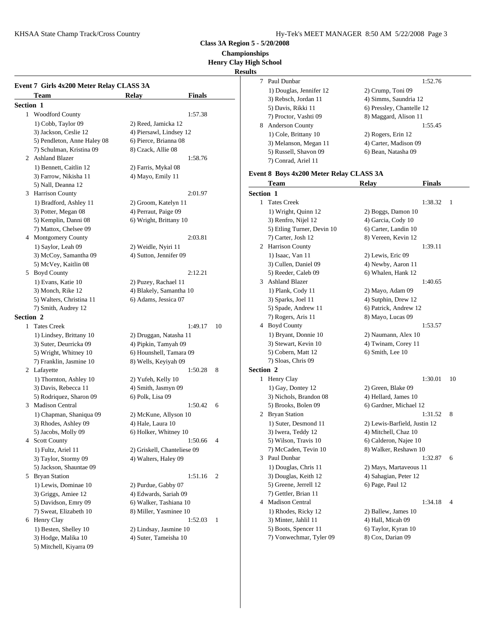KHSAA State Champ Track/Cross Country The Country Hy-Tek's MEET MANAGER 8:50 AM 5/22/2008 Page 3

**Class 3A Region 5 - 5/20/2008**

**Championships**

**Henry Clay High School**

**Results**

|           |                                          |                             |    | results<br>7 Paul I |
|-----------|------------------------------------------|-----------------------------|----|---------------------|
|           | Event 7 Girls 4x200 Meter Relay CLASS 3A |                             |    | 1) Do               |
|           | Team                                     | <b>Finals</b><br>Relay      |    | $3)$ Re             |
| Section 1 |                                          |                             |    | 5) Da               |
|           | 1 Woodford County                        | 1:57.38                     |    | 7) Pro              |
|           | 1) Cobb, Taylor 09                       | 2) Reed, Jamicka 12         |    | 8 Ander             |
|           | 3) Jackson, Ceslie 12                    | 4) Piersawl, Lindsey 12     |    | $1)$ Co             |
|           | 5) Pendleton, Anne Haley 08              | 6) Pierce, Brianna 08       |    | 3) Me               |
|           | 7) Schulman, Kristina 09                 | 8) Czack, Allie 08          |    | 5) Ru               |
|           | 2 Ashland Blazer                         | 1:58.76                     |    | 7) Co               |
|           | 1) Bennett, Caitlin 12                   | 2) Farris, Mykal 08         |    |                     |
|           | 3) Farrow, Nikisha 11                    | 4) Mayo, Emily 11           |    | Event 8 Bo          |
|           | 5) Nall, Deanna 12                       |                             |    | <b>Tean</b>         |
|           | 3 Harrison County                        | 2:01.97                     |    | Section 1           |
|           | 1) Bradford, Ashley 11                   | 2) Groom, Katelyn 11        |    | 1 Tates             |
|           | 3) Potter, Megan 08                      | 4) Perraut, Paige 09        |    | $1)$ W <sub>1</sub> |
|           | 5) Kemplin, Danni 08                     | 6) Wright, Brittany 10      |    | 3) Re:              |
|           | 7) Mattox, Chelsee 09                    |                             |    | 5) Etl              |
|           | 4 Montgomery County                      | 2:03.81                     |    | 7) Ca               |
|           | 1) Saylor, Leah 09                       | 2) Weidle, Nyiri 11         |    | 2 Harris            |
|           | 3) McCoy, Samantha 09                    | 4) Sutton, Jennifer 09      |    | 1) Isa              |
|           | 5) McVey, Kaitlin 08                     |                             |    | 3) Cu               |
|           | 5 Boyd County                            | 2:12.21                     |    | 5) Re               |
|           | 1) Evans, Katie 10                       | 2) Puzey, Rachael 11        |    | 3 Ashla             |
|           | 3) Monch, Rike 12                        | 4) Blakely, Samantha 10     |    | 1) $Plz$            |
|           | 5) Walters, Christina 11                 | 6) Adams, Jessica 07        |    | $3)$ Spa            |
|           | 7) Smith, Audrey 12                      |                             |    | $5)$ Spa            |
| Section 2 |                                          |                             |    | 7) Ro               |
|           | 1 Tates Creek                            | 1:49.17                     | 10 | 4 Boyd              |
|           | 1) Lindsey, Brittany 10                  | 2) Druggan, Natasha 11      |    | 1) Br               |
|           | 3) Suter, Deurricka 09                   | 4) Pipkin, Tamyah 09        |    | 3) Ste              |
|           | 5) Wright, Whitney 10                    | 6) Hounshell, Tamara 09     |    | 5) Co               |
|           | 7) Franklin, Jasmine 10                  | 8) Wells, Keyiyah 09        |    | 7) Slo              |
|           | 2 Lafayette                              | 1:50.28                     | 8  | <b>Section 2</b>    |
|           | 1) Thornton, Ashley 10                   | 2) Yufeh, Kelly 10          |    | 1 Henry             |
|           | 3) Davis, Rebecca 11                     | 4) Smith, Jasmyn 09         |    | $1)$ Ga             |
|           | 5) Rodriquez, Sharon 09                  | 6) Polk, Lisa 09            |    | 3) Nio              |
|           | 3 Madison Central                        | 1:50.42                     | 6  | $5)$ Bro            |
|           | 1) Chapman, Shaniqua 09                  | 2) McKune, Allyson 10       |    | 2 Bryan             |
|           | 3) Rhodes, Ashley 09                     | 4) Hale, Laura 10           |    | 1) Su               |
|           | 5) Jacobs, Molly 09                      | 6) Holker, Whitney 10       |    | $3)$ Iwo            |
|           | 4 Scott County                           | 1:50.66                     | 4  | 5) Wi               |
|           | 1) Fultz, Ariel 11                       | 2) Griskell, Chanteliese 09 |    | 7) Mo               |
|           | 3) Taylor, Stormy 09                     | 4) Walters, Haley 09        |    | 3 Paul I            |
|           | 5) Jackson, Shauntae 09                  |                             |    | $1)$ Do             |
|           | 5 Bryan Station                          | 1:51.16                     | 2  | $3)$ Do             |
|           | 1) Lewis, Dominae 10                     | 2) Purdue, Gabby 07         |    | 5) Gro              |
|           | 3) Griggs, Amiee 12                      | 4) Edwards, Sariah 09       |    | 7) Ge               |
|           | 5) Davidson, Emry 09                     | 6) Walker, Tashiana 10      |    | 4 Madis             |
|           | 7) Sweat, Elizabeth 10                   | 8) Miller, Yasminee 10      |    | $1)$ Rh             |
|           | 6 Henry Clay                             | 1:52.03                     | 1  | 3) Mi               |
|           | 1) Besten, Shelley 10                    | 2) Lindsay, Jasmine 10      |    | 5) Bo               |
|           | 3) Hodge, Malika 10                      | 4) Suter, Tameisha 10       |    | 7) Vo               |
|           | 5) Mitchell, Kiyarra 09                  |                             |    |                     |
|           |                                          |                             |    |                     |

|                         | 1:52.76                   |
|-------------------------|---------------------------|
| 1) Douglas, Jennifer 12 | 2) Crump, Toni 09         |
| 3) Rebsch, Jordan 11    | 4) Simms, Saundria 12     |
| 5) Davis, Rikki 11      | 6) Pressley, Chantelle 12 |
| 7) Proctor, Vashti 09   | 8) Maggard, Alison 11     |
| <b>Anderson County</b>  | 1:55.45                   |
| 1) Cole, Brittany 10    | 2) Rogers, Erin 12        |
| 3) Melanson, Megan 11   | 4) Carter, Madison 09     |
| 5) Russell, Shavon 09   | 6) Bean, Natasha 09       |
| 7) Conrad, Ariel 11     |                           |
|                         | Paul Dunbar               |

# **Event 8 Boys 4x200 Meter Relay CLASS 3A**

|   | Team                       | <b>Relay</b><br><b>Finals</b> |    |
|---|----------------------------|-------------------------------|----|
|   | <b>Section 1</b>           |                               |    |
| 1 | <b>Tates Creek</b>         | 1:38.32                       | 1  |
|   | 1) Wright, Quinn 12        | 2) Boggs, Damon 10            |    |
|   | 3) Renfro, Nijel 12        | 4) Garcia, Cody 10            |    |
|   | 5) Etling Turner, Devin 10 | 6) Carter, Landin 10          |    |
|   | 7) Carter, Josh 12         | 8) Vereen, Kevin 12           |    |
|   | 2 Harrison County          | 1:39.11                       |    |
|   | 1) Isaac, Van 11           | 2) Lewis, Eric 09             |    |
|   | 3) Cullen, Daniel 09       | 4) Newby, Aaron 11            |    |
|   | 5) Reeder, Caleb 09        | 6) Whalen, Hank 12            |    |
|   | 3 Ashland Blazer           | 1:40.65                       |    |
|   | 1) Plank, Cody 11          | 2) Mayo, Adam 09              |    |
|   | 3) Sparks, Joel 11         | 4) Sutphin, Drew 12           |    |
|   | 5) Spade, Andrew 11        | 6) Patrick, Andrew 12         |    |
|   | 7) Rogers, Aris 11         | 8) Mayo, Lucas 09             |    |
|   | 4 Boyd County              | 1:53.57                       |    |
|   | 1) Bryant, Donnie 10       | 2) Naumann, Alex 10           |    |
|   | 3) Stewart, Kevin 10       | 4) Twinam, Corey 11           |    |
|   | 5) Cobern, Matt 12         | 6) Smith, Lee 10              |    |
|   | 7) Sloas, Chris 09         |                               |    |
|   | <b>Section 2</b>           |                               |    |
|   | 1 Henry Clay               | 1:30.01                       | 10 |
|   | 1) Gay, Dontey 12          | 2) Green, Blake 09            |    |
|   | 3) Nichols, Brandon 08     | 4) Hellard, James 10          |    |
|   | 5) Brooks, Bolen 09        | 6) Gardner, Michael 12        |    |
|   | 2 Bryan Station            | 1:31.52                       | 8  |
|   | 1) Suter, Desmond 11       | 2) Lewis-Barfield, Justin 12  |    |
|   | 3) Iwera, Teddy 12         | 4) Mitchell, Chaz 10          |    |
|   | 5) Wilson, Travis 10       | 6) Calderon, Najee 10         |    |
|   | 7) McCaden, Tevin 10       | 8) Walker, Reshawn 10         |    |
|   | 3 Paul Dunbar              | 1:32.87                       | 6  |
|   | 1) Douglas, Chris 11       | 2) Mays, Martaveous 11        |    |
|   | 3) Douglas, Keith 12       | 4) Sahagian, Peter 12         |    |
|   | 5) Greene, Jerrell 12      | 6) Page, Paul 12              |    |
|   | 7) Gettler, Brian 11       |                               |    |
|   | 4 Madison Central          | 1:34.18                       | 4  |
|   | 1) Rhodes, Ricky 12        | 2) Ballew, James 10           |    |
|   | 3) Minter, Jahlil 11       | 4) Hall, Micah 09             |    |
|   | 5) Boots, Spencer 11       | 6) Taylor, Kyran 10           |    |
|   | 7) Vonwechmar, Tyler 09    | 8) Cox, Darian 09             |    |
|   |                            |                               |    |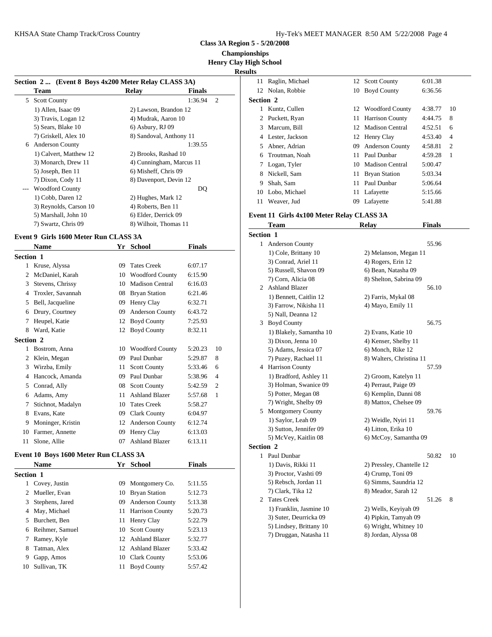**Class 3A Region 5 - 5/20/2008**

**Championships**

**Henry Clay High School**

#### **Results**

|       |                                                     |                          |                           | ncoulto   |                       |
|-------|-----------------------------------------------------|--------------------------|---------------------------|-----------|-----------------------|
|       | Section 2 (Event 8 Boys 4x200 Meter Relay CLASS 3A) |                          |                           | 11        | Raglin, Mi            |
|       | Team                                                | Relay                    | <b>Finals</b>             |           | 12 Nolan, Rol         |
| 5.    | <b>Scott County</b>                                 |                          | $\overline{2}$<br>1:36.94 | Section 2 |                       |
|       | 1) Allen, Isaac 09                                  | 2) Lawson, Brandon 12    |                           |           | Kuntz, Cul            |
|       | 3) Travis, Logan 12                                 | 4) Mudrak, Aaron 10      |                           |           | 2 Puckett, R          |
|       | 5) Sears, Blake 10                                  | 6) Asbury, RJ 09         |                           |           | 3 Marcum, E           |
|       | 7) Griskell, Alex 10                                | 8) Sandoval, Anthony 11  |                           |           | 4 Lester, Jac         |
| 6     | Anderson County                                     |                          | 1:39.55                   | 5.        | Abner, Ad             |
|       | 1) Calvert, Matthew 12                              | 2) Brooks, Rashad 10     |                           | 6         | Troutman,             |
|       | 3) Monarch, Drew 11                                 | 4) Cunningham, Marcus 11 |                           |           | 7 Logan, Ty           |
|       | 5) Joseph, Ben 11                                   | 6) Misheff, Chris 09     |                           | 8         | Nickell, Sa           |
|       | 7) Dixon, Cody 11                                   | 8) Davenport, Devin 12   |                           | 9         | Shah, Sam             |
| $---$ | <b>Woodford County</b>                              |                          | DQ                        |           | 10 Lobo, Mic          |
|       | 1) Cobb, Daren 12                                   | 2) Hughes, Mark 12       |                           | 11        | Weaver, Ju            |
|       | 3) Reynolds, Carson 10                              | 4) Roberts, Ben 11       |                           |           |                       |
|       | 5) Marshall, John 10                                | 6) Elder, Derrick 09     |                           |           | <b>Event 11 Girls</b> |
|       | 7) Swartz, Chris 09                                 | 8) Wilhoit, Thomas 11    |                           |           | <b>Team</b>           |
|       |                                                     |                          |                           |           |                       |

#### **Event 9 Girls 1600 Meter Run CLASS 3A**

|                  | <b>Name</b>       | Yr | School                 | <b>Finals</b> |                | 1                           | Ander            |
|------------------|-------------------|----|------------------------|---------------|----------------|-----------------------------|------------------|
| <b>Section 1</b> |                   |    |                        |               |                |                             | $1)$ Co          |
| 1                | Kruse, Alyssa     | 09 | <b>Tates Creek</b>     | 6:07.17       |                |                             | $3)$ Co          |
| 2                | McDaniel, Karah   | 10 | <b>Woodford County</b> | 6:15.90       |                |                             | 5) Ru            |
| 3                | Stevens, Chrissy  | 10 | <b>Madison Central</b> | 6:16.03       |                | $\mathcal{D}_{\mathcal{L}}$ | $7)$ Co<br>Ashla |
| 4                | Troxler, Savannah |    | 08 Bryan Station       | 6:21.46       |                |                             | $1)$ Be          |
| 5                | Bell, Jacqueline  | 09 | Henry Clay             | 6:32.71       |                |                             | $3)$ Far         |
| 6                | Drury, Courtney   | 09 | Anderson County        | 6:43.72       |                |                             | 5) Na            |
| 7                | Heupel, Katie     |    | 12 Boyd County         | 7:25.93       |                | $\mathcal{F}$               | Boyd             |
| 8                | Ward, Katie       | 12 | <b>Boyd County</b>     | 8:32.11       |                |                             | $1)$ Bla         |
| <b>Section 2</b> |                   |    |                        |               |                |                             | $3)$ Di          |
| 1                | Bostrom, Anna     | 10 | <b>Woodford County</b> | 5:20.23       | 10             |                             | 5) Ad            |
| 2                | Klein, Megan      | 09 | Paul Dunbar            | 5:29.87       | 8              |                             | 7) Pu:           |
| 3                | Wirzba, Emily     | 11 | <b>Scott County</b>    | 5:33.46       | 6              | 4                           | Harris           |
| 4                | Hancock, Amanda   | 09 | Paul Dunbar            | 5:38.96       | $\overline{4}$ |                             | $1)$ Br          |
| 5                | Conrad, Ally      | 08 | <b>Scott County</b>    | 5:42.59       | $\overline{2}$ |                             | $3)$ Ho          |
| 6                | Adams, Amy        | 11 | <b>Ashland Blazer</b>  | 5:57.68       | 1              |                             | $5)$ Pot         |
| 7                | Stichnot, Madalyn | 10 | <b>Tates Creek</b>     | 5:58.27       |                |                             | 7) Wr            |
| 8                | Evans, Kate       | 09 | <b>Clark County</b>    | 6:04.97       |                | 5                           | <b>Mont</b>      |
| 9                | Moninger, Kristin | 12 | Anderson County        | 6:12.74       |                |                             | 1) Sa            |
| 10               | Farmer, Annette   | 09 | Henry Clay             | 6:13.03       |                |                             | $3)$ Sut         |
| 11               | Slone, Allie      | 07 | <b>Ashland Blazer</b>  | 6:13.11       |                | $\sim$                      | 5) Mc            |

#### **Event 10 Boys 1600 Meter Run CLASS 3A**

|                  | Name              |    | Yr School              | <b>Finals</b> |  |
|------------------|-------------------|----|------------------------|---------------|--|
| <b>Section 1</b> |                   |    |                        |               |  |
|                  | 1 Covey, Justin   |    | 09 Montgomery Co.      | 5:11.55       |  |
|                  | 2 Mueller, Evan   |    | 10 Bryan Station       | 5:12.73       |  |
| 3                | Stephens, Jared   | 09 | <b>Anderson County</b> | 5:13.38       |  |
| 4                | May, Michael      |    | 11 Harrison County     | 5:20.73       |  |
| 5.               | Burchett, Ben     |    | 11 Henry Clay          | 5:22.79       |  |
|                  | 6 Reihmer, Samuel |    | 10 Scott County        | 5:23.13       |  |
|                  | 7 Ramey, Kyle     |    | 12 Ashland Blazer      | 5:32.77       |  |
| 8                | Tatman, Alex      |    | 12 Ashland Blazer      | 5:33.42       |  |
| 9                | Gapp, Amos        |    | 10 Clark County        | 5:53.06       |  |
| 10               | Sullivan, TK      | 11 | <b>Boyd County</b>     | 5:57.42       |  |

| .         |                    |     |                        |         |                |
|-----------|--------------------|-----|------------------------|---------|----------------|
|           | 11 Raglin, Michael |     | 12 Scott County        | 6:01.38 |                |
|           | 12 Nolan, Robbie   |     | 10 Boyd County         | 6:36.56 |                |
| Section 2 |                    |     |                        |         |                |
|           | Kuntz, Cullen      |     | 12 Woodford County     | 4:38.77 | 10             |
|           | 2 Puckett, Ryan    |     | 11 Harrison County     | 4:44.75 | 8              |
|           | 3 Marcum, Bill     |     | 12 Madison Central     | 4:52.51 | 6              |
| 4         | Lester, Jackson    |     | 12 Henry Clay          | 4:53.40 | 4              |
| 5.        | Abner, Adrian      | 09. | <b>Anderson County</b> | 4:58.81 | $\overline{c}$ |
| 6.        | Troutman, Noah     | 11. | Paul Dunbar            | 4:59.28 | 1              |
|           | Logan, Tyler       | 10  | Madison Central        | 5:00.47 |                |
| 8         | Nickell, Sam       |     | 11 Bryan Station       | 5:03.34 |                |
| 9         | Shah, Sam          | 11  | Paul Dunbar            | 5:06.64 |                |
| 10        | Lobo, Michael      | 11  | Lafayette              | 5:15.66 |                |
| 11        | Weaver, Jud        | 09  | Lafayette              | 5:41.88 |                |

# **Event 11 Girls 4x100 Meter Relay CLASS 3A**

|                  | <b>Team</b>             | <b>Relay</b>              | <b>Finals</b> |    |
|------------------|-------------------------|---------------------------|---------------|----|
| <b>Section 1</b> |                         |                           |               |    |
|                  | 1 Anderson County       |                           | 55.96         |    |
|                  | 1) Cole, Brittany 10    | 2) Melanson, Megan 11     |               |    |
|                  | 3) Conrad, Ariel 11     | 4) Rogers, Erin 12        |               |    |
|                  | 5) Russell, Shavon 09   | 6) Bean, Natasha 09       |               |    |
|                  | 7) Corn, Alicia 08      | 8) Shelton, Sabrina 09    |               |    |
|                  | 2 Ashland Blazer        |                           | 56.10         |    |
|                  | 1) Bennett, Caitlin 12  | 2) Farris, Mykal 08       |               |    |
|                  | 3) Farrow, Nikisha 11   | 4) Mayo, Emily 11         |               |    |
|                  | 5) Nall, Deanna 12      |                           |               |    |
|                  | 3 Boyd County           |                           | 56.75         |    |
|                  | 1) Blakely, Samantha 10 | 2) Evans, Katie 10        |               |    |
|                  | 3) Dixon, Jenna 10      | 4) Kenser, Shelby 11      |               |    |
|                  | 5) Adams, Jessica 07    | 6) Monch, Rike 12         |               |    |
|                  | 7) Puzey, Rachael 11    | 8) Walters, Christina 11  |               |    |
|                  | 4 Harrison County       |                           | 57.59         |    |
|                  | 1) Bradford, Ashley 11  | 2) Groom, Katelyn 11      |               |    |
|                  | 3) Holman, Swanice 09   | 4) Perraut, Paige 09      |               |    |
|                  | 5) Potter, Megan 08     | 6) Kemplin, Danni 08      |               |    |
|                  | 7) Wright, Shelby 09    | 8) Mattox, Chelsee 09     |               |    |
|                  | 5 Montgomery County     |                           | 59.76         |    |
|                  | 1) Saylor, Leah 09      | 2) Weidle, Nyiri 11       |               |    |
|                  | 3) Sutton, Jennifer 09  | 4) Litton, Erika 10       |               |    |
|                  | 5) McVey, Kaitlin 08    | 6) McCoy, Samantha 09     |               |    |
| <b>Section 2</b> |                         |                           |               |    |
|                  | 1 Paul Dunbar           |                           | 50.82         | 10 |
|                  | 1) Davis, Rikki 11      | 2) Pressley, Chantelle 12 |               |    |
|                  | 3) Proctor, Vashti 09   | 4) Crump, Toni 09         |               |    |
|                  | 5) Rebsch, Jordan 11    | 6) Simms, Saundria 12     |               |    |
|                  | 7) Clark, Tika 12       | 8) Meador, Sarah 12       |               |    |
|                  | 2 Tates Creek           |                           | 51.26         | 8  |
|                  | 1) Franklin, Jasmine 10 | 2) Wells, Keyiyah 09      |               |    |
|                  | 3) Suter, Deurricka 09  | 4) Pipkin, Tamyah 09      |               |    |
|                  | 5) Lindsey, Brittany 10 | 6) Wright, Whitney 10     |               |    |
|                  | 7) Druggan, Natasha 11  | 8) Jordan, Alyssa 08      |               |    |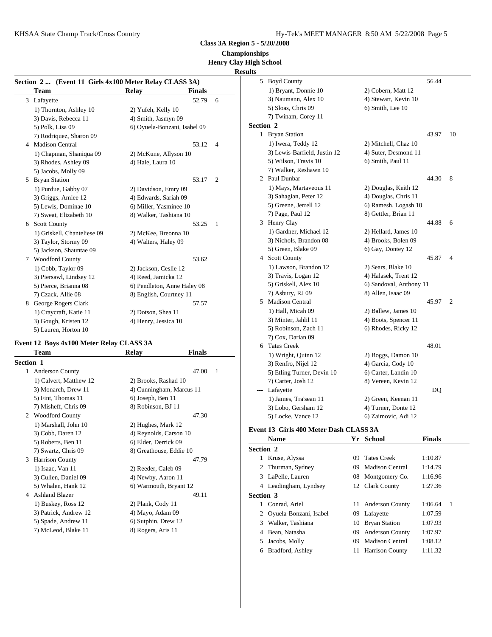KHSAA State Champ Track/Cross Country The Country Hy-Tek's MEET MANAGER 8:50 AM 5/22/2008 Page 5

**Class 3A Region 5 - 5/20/2008**

**Championships**

#### **Henry Clay High School Results**

| Section 2  (Event 11 Girls 4x100 Meter Relay CLASS 3A) |                              |                         |           | 5 Boyd County                |                         | 56.44   |    |
|--------------------------------------------------------|------------------------------|-------------------------|-----------|------------------------------|-------------------------|---------|----|
| Team                                                   | Relay                        | <b>Finals</b>           |           | 1) Bryant, Donnie 10         | 2) Cobern, Matt 12      |         |    |
| 3 Lafayette                                            |                              | 52.79 6                 |           | 3) Naumann, Alex 10          | 4) Stewart, Kevin 10    |         |    |
| 1) Thornton, Ashley 10                                 | 2) Yufeh, Kelly 10           |                         |           | 5) Sloas, Chris 09           | 6) Smith, Lee 10        |         |    |
| 3) Davis, Rebecca 11                                   | 4) Smith, Jasmyn 09          |                         |           | 7) Twinam, Corey 11          |                         |         |    |
| 5) Polk, Lisa 09                                       | 6) Oyuela-Bonzani, Isabel 09 |                         | Section 2 |                              |                         |         |    |
| 7) Rodriquez, Sharon 09                                |                              |                         |           | 1 Bryan Station              |                         | 43.97   | 10 |
| 4 Madison Central                                      |                              | 53.12 4                 |           | 1) Iwera, Teddy 12           | 2) Mitchell, Chaz 10    |         |    |
| 1) Chapman, Shaniqua 09                                | 2) McKune, Allyson 10        |                         |           | 3) Lewis-Barfield, Justin 12 | 4) Suter, Desmond 11    |         |    |
| 3) Rhodes, Ashley 09                                   | 4) Hale, Laura 10            |                         |           | 5) Wilson, Travis 10         | 6) Smith, Paul 11       |         |    |
| 5) Jacobs, Molly 09                                    |                              |                         |           | 7) Walker, Reshawn 10        |                         |         |    |
| 5 Bryan Station                                        |                              | 53.17 2                 |           | 2 Paul Dunbar                |                         | 44.30 8 |    |
| 1) Purdue, Gabby 07                                    | 2) Davidson, Emry 09         |                         |           | 1) Mays, Martaveous 11       | 2) Douglas, Keith 12    |         |    |
| 3) Griggs, Amiee 12                                    | 4) Edwards, Sariah 09        |                         |           | 3) Sahagian, Peter 12        | 4) Douglas, Chris 11    |         |    |
| 5) Lewis, Dominae 10                                   | 6) Miller, Yasminee 10       |                         |           | 5) Greene, Jerrell 12        | 6) Ramesh, Logash 10    |         |    |
| 7) Sweat, Elizabeth 10                                 | 8) Walker, Tashiana 10       |                         |           | 7) Page, Paul 12             | 8) Gettler, Brian 11    |         |    |
| 6 Scott County                                         |                              | 53.25<br>$\blacksquare$ |           | 3 Henry Clay                 |                         | 44.88 6 |    |
| 1) Griskell, Chanteliese 09                            | 2) McKee, Breonna 10         |                         |           | 1) Gardner, Michael 12       | 2) Hellard, James 10    |         |    |
| 3) Taylor, Stormy 09                                   | 4) Walters, Haley 09         |                         |           | 3) Nichols, Brandon 08       | 4) Brooks, Bolen 09     |         |    |
| 5) Jackson, Shauntae 09                                |                              |                         |           | 5) Green, Blake 09           | 6) Gay, Dontey 12       |         |    |
| 7 Woodford County                                      |                              | 53.62                   |           | 4 Scott County               |                         | 45.87 4 |    |
| 1) Cobb, Taylor 09                                     | 2) Jackson, Ceslie 12        |                         |           | 1) Lawson, Brandon 12        | 2) Sears, Blake 10      |         |    |
| 3) Piersawl, Lindsey 12                                | 4) Reed, Jamicka 12          |                         |           | 3) Travis, Logan 12          | 4) Halasek, Trent 12    |         |    |
| 5) Pierce, Brianna 08                                  | 6) Pendleton, Anne Haley 08  |                         |           | 5) Griskell, Alex 10         | 6) Sandoval, Anthony 11 |         |    |
| 7) Czack, Allie 08                                     | 8) English, Courtney 11      |                         |           | 7) Asbury, RJ 09             | 8) Allen, Isaac 09      |         |    |
| 8 George Rogers Clark                                  |                              | 57.57                   |           | 5 Madison Central            |                         | 45.97 2 |    |
| 1) Craycraft, Katie 11                                 | 2) Dotson, Shea 11           |                         |           | 1) Hall, Micah 09            | 2) Ballew, James 10     |         |    |
| 3) Gough, Kristen 12                                   | 4) Henry, Jessica 10         |                         |           | 3) Minter, Jahlil 11         | 4) Boots, Spencer 11    |         |    |
| 5) Lauren, Horton 10                                   |                              |                         |           | 5) Robinson, Zach 11         | 6) Rhodes, Ricky 12     |         |    |

#### **Event 12 Boys 4x100 Meter Relay CLASS 3A**

|                  | <b>Team</b>            | Relay                   | <b>Finals</b>            | $1)$ W                |
|------------------|------------------------|-------------------------|--------------------------|-----------------------|
| <b>Section 1</b> |                        |                         |                          | 3) R                  |
| $\mathbf{1}$     | Anderson County        |                         | 47.00<br>$\overline{1}$  | 5) E                  |
|                  | 1) Calvert, Matthew 12 | 2) Brooks, Rashad 10    |                          | 7) C                  |
|                  | 3) Monarch, Drew 11    |                         | 4) Cunningham, Marcus 11 | Lafa                  |
|                  | 5) Fint, Thomas 11     | 6) Joseph, Ben 11       |                          | $1)$ Ja               |
|                  | 7) Misheff, Chris 09   | 8) Robinson, BJ 11      |                          | 3) L                  |
| 2                | <b>Woodford County</b> |                         | 47.30                    | 5) L                  |
|                  | 1) Marshall, John 10   | 2) Hughes, Mark 12      |                          |                       |
|                  | 3) Cobb, Daren 12      | 4) Reynolds, Carson 10  |                          | Event 13              |
|                  | 5) Roberts, Ben 11     | 6) Elder, Derrick 09    |                          | Nan                   |
|                  | 7) Swartz, Chris 09    | 8) Greathouse, Eddie 10 |                          | Section 2             |
| 3                | Harrison County        |                         | 47.79                    | Krus                  |
|                  | 1) Isaac, Van 11       | 2) Reeder, Caleb 09     |                          | Thu<br>$\mathfrak{D}$ |
|                  | 3) Cullen, Daniel 09   | 4) Newby, Aaron 11      |                          | LaP <sub>0</sub><br>3 |
|                  | 5) Whalen, Hank 12     | 6) Warmouth, Bryant 12  |                          | Lead<br>4             |
| 4                | <b>Ashland Blazer</b>  |                         | 49.11                    | Section 3             |
|                  | 1) Buskey, Ross 12     | 2) Plank, Cody 11       |                          | Con                   |
|                  | 3) Patrick, Andrew 12  | 4) Mayo, Adam 09        |                          | Oyu                   |
|                  | 5) Spade, Andrew 11    | 6) Sutphin, Drew 12     |                          | Wall<br>3             |
|                  | 7) McLeod, Blake 11    | 8) Rogers, Aris 11      |                          | Bear<br>4             |

|              | 7) Page, Paul 12                       |    | 8) Gettler, Brian 11    |               |   |
|--------------|----------------------------------------|----|-------------------------|---------------|---|
|              | 3 Henry Clay                           |    |                         | 44.88         | 6 |
|              | 1) Gardner, Michael 12                 |    | 2) Hellard, James 10    |               |   |
|              | 3) Nichols, Brandon 08                 |    | 4) Brooks, Bolen 09     |               |   |
|              | 5) Green, Blake 09                     |    | 6) Gay, Dontey 12       |               |   |
|              | 4 Scott County                         |    |                         | 45.87         | 4 |
|              | 1) Lawson, Brandon 12                  |    | 2) Sears, Blake 10      |               |   |
|              | 3) Travis, Logan 12                    |    | 4) Halasek, Trent 12    |               |   |
|              | 5) Griskell, Alex 10                   |    | 6) Sandoval, Anthony 11 |               |   |
|              | 7) Asbury, RJ 09                       |    | 8) Allen, Isaac 09      |               |   |
|              | 5 Madison Central                      |    |                         | 45.97         | 2 |
|              | 1) Hall, Micah 09                      |    | 2) Ballew, James 10     |               |   |
|              | 3) Minter, Jahlil 11                   |    | 4) Boots, Spencer 11    |               |   |
|              | 5) Robinson, Zach 11                   |    | 6) Rhodes, Ricky 12     |               |   |
|              | 7) Cox, Darian 09                      |    |                         |               |   |
| 6            | <b>Tates Creek</b>                     |    |                         | 48.01         |   |
|              | 1) Wright, Quinn 12                    |    | 2) Boggs, Damon 10      |               |   |
|              | 3) Renfro, Nijel 12                    |    | 4) Garcia, Cody 10      |               |   |
|              | 5) Etling Turner, Devin 10             |    | 6) Carter, Landin 10    |               |   |
|              | 7) Carter, Josh 12                     |    | 8) Vereen, Kevin 12     |               |   |
| $---$        | Lafayette                              |    |                         | DQ            |   |
|              | 1) James, Tra'sean 11                  |    | 2) Green, Keenan 11     |               |   |
|              | 3) Lobo, Gersham 12                    |    | 4) Turner, Donte 12     |               |   |
|              | 5) Locke, Vance 12                     |    | 6) Zaimovic, Adi 12     |               |   |
|              | Event 13 Girls 400 Meter Dash CLASS 3A |    |                         |               |   |
|              | <b>Name</b>                            |    | Yr School               | <b>Finals</b> |   |
|              | <b>Section 2</b>                       |    |                         |               |   |
| $\mathbf{1}$ | Kruse, Alyssa                          | 09 | <b>Tates Creek</b>      | 1:10.87       |   |
| 2            | Thurman, Sydney                        | 09 | Madison Central         | 1:14.79       |   |
|              | 3 LaPelle, Lauren                      | 08 | Montgomery Co.          | 1:16.96       |   |
|              | 4 Leadingham, Lyndsey                  |    | 12 Clark County         | 1:27.36       |   |
|              | <b>Section 3</b>                       |    |                         |               |   |
|              | Conrad, Ariel                          | 11 | Anderson County         | 1:06.64       | 1 |
| 1            |                                        |    |                         |               |   |
| 2            | Oyuela-Bonzani, Isabel                 | 09 | Lafayette               | 1:07.59       |   |
| 3            | Walker, Tashiana                       | 10 | <b>Bryan Station</b>    | 1:07.93       |   |

## 4 Bean, Natasha 09 Anderson County 1:07.97

- 5 Jacobs, Molly 09 Madison Central 1:08.12 6 Bradford, Ashley 11 Harrison County 1:11.32
	-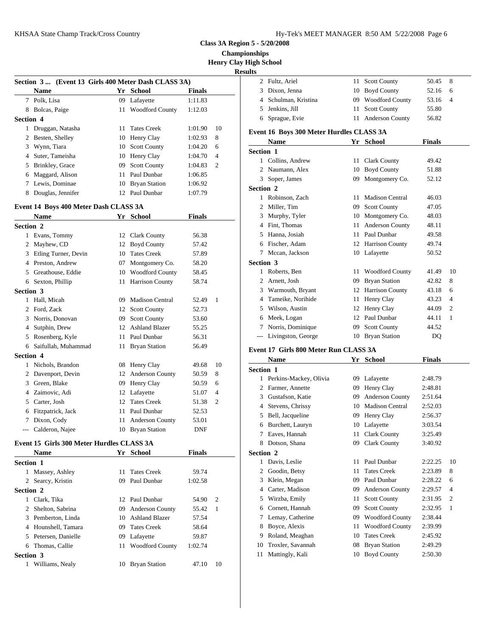| Hy-Tek's MEET MANAGER 8:50 AM 5/22/2008 Page 6 |  |  |  |
|------------------------------------------------|--|--|--|
|------------------------------------------------|--|--|--|

**Class 3A Region 5 - 5/20/2008**

**Championships**

**Henry Clay High School**

## **Result**

|                  | Section 3 (Event 13 Girls 400 Meter Dash CLASS 3A) |                    |               |                |                  | 2 Fultz,      |
|------------------|----------------------------------------------------|--------------------|---------------|----------------|------------------|---------------|
|                  | <b>Name</b>                                        | Yr School          | <b>Finals</b> |                |                  | 3 Dixor       |
|                  | 7 Polk, Lisa                                       | 09 Lafayette       | 1:11.83       |                |                  | 4 Schul       |
|                  | 8 Bolcas, Paige                                    | 11 Woodford County | 1:12.03       |                |                  | 5 Jenki       |
| <b>Section 4</b> |                                                    |                    |               |                |                  | 6 Sprag       |
|                  | 1 Druggan, Natasha                                 | 11 Tates Creek     | 1:01.90       | 10             | Event 16 B       |               |
|                  | 2 Besten, Shelley                                  | 10 Henry Clay      | 1:02.93       | 8              |                  | <b>Nam</b>    |
|                  | 3 Wynn, Tiara                                      | 10 Scott County    | 1:04.20       | 6              |                  |               |
|                  | 4 Suter, Tameisha                                  | 10 Henry Clay      | 1:04.70       | $\overline{4}$ | <b>Section 1</b> | Collir        |
|                  | 5 Brinkley, Grace                                  | 09 Scott County    | 1:04.83       | $\overline{2}$ |                  | 2 Naum        |
|                  | 6 Maggard, Alison                                  | 11 Paul Dunbar     | 1:06.85       |                |                  | 3 Soper       |
|                  | 7 Lewis, Dominae                                   | 10 Bryan Station   | 1:06.92       |                | Section 2        |               |
| 8                | Douglas, Jennifer                                  | 12 Paul Dunbar     | 1:07.79       |                |                  | $1 \quad D_2$ |

#### **Event 14 Boys 400 Meter Dash CLASS 3A**

|                  | <b>Name</b>          | Yr | <b>School</b>          | <b>Finals</b> |                | 3          | Murp                  |
|------------------|----------------------|----|------------------------|---------------|----------------|------------|-----------------------|
| <b>Section 2</b> |                      |    |                        |               |                | 4          | Fint.                 |
| 1                | Evans, Tommy         | 12 | <b>Clark County</b>    | 56.38         |                |            | Hanna                 |
| 2                | Mayhew, CD           | 12 | <b>Boyd County</b>     | 57.42         |                | 6          | Fisch                 |
| 3                | Etling Turner, Devin | 10 | <b>Tates Creek</b>     | 57.89         |                |            | Mcca                  |
| 4                | Preston, Andrew      | 07 | Montgomery Co.         | 58.20         |                | Section 3  |                       |
| 5                | Greathouse, Eddie    | 10 | <b>Woodford County</b> | 58.45         |                | 1          | Rober                 |
| 6                | Sexton, Phillip      | 11 | Harrison County        | 58.74         |                |            | Arnet                 |
| <b>Section 3</b> |                      |    |                        |               |                | 3          | Warn                  |
|                  | Hall, Micah          | 09 | <b>Madison Central</b> | 52.49         | 1              | 4          | Tame                  |
| 2                | Ford, Zack           | 12 | <b>Scott County</b>    | 52.73         |                | 5          | Wilso                 |
| 3                | Norris, Donovan      | 09 | <b>Scott County</b>    | 53.60         |                | 6          | Meek                  |
| 4                | Sutphin, Drew        | 12 | <b>Ashland Blazer</b>  | 55.25         |                |            | Norri:                |
| 5                | Rosenberg, Kyle      | 11 | Paul Dunbar            | 56.31         |                |            | Livin                 |
| 6                | Saifullah, Muhammad  | 11 | <b>Bryan Station</b>   | 56.49         |                | Event 17 G |                       |
| <b>Section 4</b> |                      |    |                        |               |                |            |                       |
| 1                | Nichols, Brandon     |    | 08 Henry Clay          | 49.68         | 10             |            | <b>Nam</b>            |
| 2                | Davenport, Devin     | 12 | Anderson County        | 50.59         | 8              | Section 1  |                       |
| 3                | Green, Blake         | 09 | Henry Clay             | 50.59         | 6              |            | Perki                 |
| 4                | Zaimovic, Adi        | 12 | Lafayette              | 51.07         | $\overline{4}$ | 2          | Farme                 |
| 5                | Carter, Josh         | 12 | <b>Tates Creek</b>     | 51.38         | $\overline{2}$ | 3          | Gusta                 |
| 6                | Fitzpatrick, Jack    | 11 | Paul Dunbar            | 52.53         |                | 4          | <b>Steve</b>          |
| 7                | Dixon, Cody          | 11 | Anderson County        | 53.01         |                |            | Bell,                 |
| $---$            | Calderon, Najee      |    | 10 Bryan Station       | <b>DNF</b>    |                |            | Burch<br>$\mathbf{r}$ |

#### **Event 15 Girls 300 Meter Hurdles CLASS 3A**

|                  | <b>Name</b>          |    | Yr School              | <b>Finals</b> |                | Section 2 |          |
|------------------|----------------------|----|------------------------|---------------|----------------|-----------|----------|
| <b>Section 1</b> |                      |    |                        |               |                |           | Davis    |
|                  | 1 Massey, Ashley     |    | 11 Tates Creek         | 59.74         |                |           | 2 Good   |
|                  | 2 Searcy, Kristin    |    | 09 Paul Dunbar         | 1:02.58       |                |           | 3 Klein  |
| Section 2        |                      |    |                        |               |                |           | 4 Carter |
|                  | Clark, Tika          |    | 12 Paul Dunbar         | 54.90         | $\overline{2}$ |           | 5 Wirzł  |
|                  | 2 Shelton, Sabrina   |    | 09 Anderson County     | 55.42         | - 1            |           | 6 Corne  |
|                  | 3 Pemberton, Linda   |    | 10 Ashland Blazer      | 57.54         |                | 7         | Lema     |
|                  | 4 Hounshell, Tamara  |    | 09 Tates Creek         | 58.64         |                | 8         | Boyce    |
|                  | 5 Petersen, Danielle | 09 | Lafayette              | 59.87         |                | 9         | Rolan    |
| 6                | Thomas, Callie       | 11 | <b>Woodford County</b> | 1:02.74       |                | 10        | Troxl    |
| <b>Section 3</b> |                      |    |                        |               |                | 11        | Matti    |
|                  | Williams, Nealy      |    | 10 Bryan Station       | 47.10         | 10             |           |          |
|                  |                      |    |                        |               |                |           |          |

| lts |                                          |    |                        |               |                |
|-----|------------------------------------------|----|------------------------|---------------|----------------|
|     | 2 Fultz, Ariel                           | 11 | <b>Scott County</b>    | 50.45         | 8              |
| 3   | Dixon, Jenna                             | 10 | <b>Boyd County</b>     | 52.16         | 6              |
|     | Schulman, Kristina<br>4                  |    | 09 Woodford County     | 53.16         | $\overline{4}$ |
| 5   | Jenkins, Jill                            | 11 | <b>Scott County</b>    | 55.80         |                |
| 6   | Sprague, Evie                            | 11 | Anderson County        | 56.82         |                |
|     | Event 16 Boys 300 Meter Hurdles CLASS 3A |    |                        |               |                |
|     | <b>Name</b>                              |    | Yr School              | <b>Finals</b> |                |
|     | <b>Section 1</b>                         |    |                        |               |                |
|     | 1 Collins, Andrew                        | 11 | <b>Clark County</b>    | 49.42         |                |
|     | Naumann, Alex<br>2                       | 10 | <b>Boyd County</b>     | 51.88         |                |
|     | Soper, James<br>3                        | 09 | Montgomery Co.         | 52.12         |                |
|     | <b>Section 2</b>                         |    |                        |               |                |
|     | Robinson, Zach<br>1.                     | 11 | <b>Madison Central</b> | 46.03         |                |
| 2   | Miller, Tim                              | 09 | <b>Scott County</b>    | 47.05         |                |
| 3   | Murphy, Tyler                            | 10 | Montgomery Co.         | 48.03         |                |
| 4   | Fint, Thomas                             | 11 | Anderson County        | 48.11         |                |
| 5   | Hanna, Josiah                            | 11 | Paul Dunbar            | 49.58         |                |
| 6   | Fischer, Adam                            | 12 | <b>Harrison County</b> | 49.74         |                |
|     | Mccan, Jackson<br>7                      | 10 | Lafayette              | 50.52         |                |
|     | <b>Section 3</b>                         |    |                        |               |                |
|     | Roberts, Ben<br>1.                       | 11 | <b>Woodford County</b> | 41.49         | 10             |
|     | Arnett, Josh<br>2                        | 09 | <b>Bryan Station</b>   | 42.82         | 8              |
|     | 3 Warmouth, Bryant                       | 12 | Harrison County        | 43.18         | 6              |
| 4   | Tameike, Norihide                        | 11 | Henry Clay             | 43.23         | $\overline{4}$ |
| 5.  | Wilson, Austin                           | 12 | Henry Clay             | 44.09         | $\mathfrak{2}$ |
| 6   | Meek, Logan                              | 12 | Paul Dunbar            | 44.11         | 1              |
| 7   | Norris, Dominique                        | 09 | <b>Scott County</b>    | 44.52         |                |
| --- | Livingston, George                       | 10 | <b>Bryan Station</b>   | <b>DQ</b>     |                |
|     | Event 17 Girls 800 Meter Run CLASS 3A    |    |                        |               |                |
|     |                                          |    |                        |               |                |

|                  | <b>Name</b>            | Yr | <b>School</b>          | <b>Finals</b> |                |
|------------------|------------------------|----|------------------------|---------------|----------------|
| <b>Section 1</b> |                        |    |                        |               |                |
|                  | Perkins-Mackey, Olivia | 09 | Lafayette              | 2:48.79       |                |
| 2                | Farmer, Annette        | 09 | Henry Clay             | 2:48.81       |                |
| 3                | Gustafson, Katie       | 09 | <b>Anderson County</b> | 2:51.64       |                |
| 4                | Stevens, Chrissy       | 10 | <b>Madison Central</b> | 2:52.03       |                |
| 5                | Bell, Jacqueline       | 09 | Henry Clay             | 2:56.37       |                |
| 6                | Burchett, Lauryn       | 10 | Lafayette              | 3:03.54       |                |
| 7                | Eaves, Hannah          | 11 | <b>Clark County</b>    | 3:25.49       |                |
| 8                | Dotson, Shana          | 09 | <b>Clark County</b>    | 3:40.92       |                |
| <b>Section 2</b> |                        |    |                        |               |                |
| 1                | Davis, Leslie          | 11 | Paul Dunbar            | 2:22.25       | 10             |
| 2                | Goodin, Betsy          | 11 | <b>Tates Creek</b>     | 2:23.89       | 8              |
| 3                | Klein, Megan           | 09 | Paul Dunbar            | 2:28.22       | 6              |
| 4                | Carter, Madison        | 09 | Anderson County        | 2:29.57       | 4              |
| 5                | Wirzba, Emily          | 11 | <b>Scott County</b>    | 2:31.95       | $\overline{c}$ |
| 6                | Cornett, Hannah        | 09 | <b>Scott County</b>    | 2:32.95       | 1              |
| 7                | Lemay, Catherine       | 09 | <b>Woodford County</b> | 2:38.44       |                |
| 8                | Boyce, Alexis          | 11 | <b>Woodford County</b> | 2:39.99       |                |
| 9                | Roland, Meaghan        | 10 | <b>Tates Creek</b>     | 2:45.92       |                |
| 10               | Troxler, Savannah      | 08 | <b>Bryan Station</b>   | 2:49.29       |                |
| 11               | Mattingly, Kali        | 10 | <b>Boyd County</b>     | 2:50.30       |                |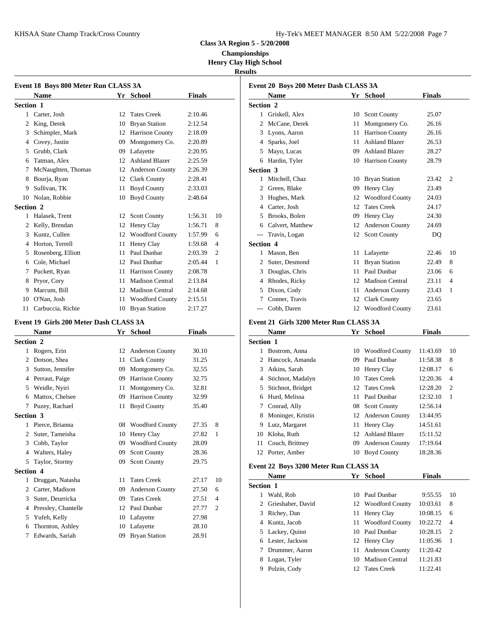KHSAA State Champ Track/Cross Country Hy-Tek's Manager 8:50 AM 5722-2008 Page 7:50 AM 5722-2008 Page 7:50 AM 5722

| Hy-Tek's MEET MANAGER 8:50 AM 5/22/2008 Page 7 |  |  |  |
|------------------------------------------------|--|--|--|
|------------------------------------------------|--|--|--|

**Class 3A Region 5 - 5/20/2008**

**Championships Henry Clay High School**

#### **Results**

|                  | Event 18 Boys 800 Meter Run CLASS 3A |    |                        |               |                |                | Event 20 B   |
|------------------|--------------------------------------|----|------------------------|---------------|----------------|----------------|--------------|
|                  | <b>Name</b>                          |    | Yr School              | <b>Finals</b> |                |                | <b>Nam</b>   |
| <b>Section 1</b> |                                      |    |                        |               |                | Section 2      |              |
| 1                | Carter, Josh                         | 12 | <b>Tates Creek</b>     | 2:10.46       |                | 1              | Grisk        |
| 2                | King, Derek                          | 10 | <b>Bryan Station</b>   | 2:12.54       |                | 2              | McCa         |
| 3                | Schimpler, Mark                      | 12 | Harrison County        | 2:18.09       |                | 3              | Lyons        |
| 4                | Covey, Justin                        | 09 | Montgomery Co.         | 2:20.89       |                | 4              | Spark        |
| 5                | Grubb, Clark                         | 09 | Lafayette              | 2:20.95       |                | 5              | Mayo         |
| 6                | Tatman, Alex                         | 12 | <b>Ashland Blazer</b>  | 2:25.59       |                | 6              | Hardi        |
|                  | McNaughten, Thomas                   | 12 | Anderson County        | 2:26.39       |                | Section 3      |              |
| 8                | Bourja, Ryan                         | 12 | Clark County           | 2:28.41       |                | $\mathbf{1}$   | Mitch        |
| 9                | Sullivan, TK                         | 11 | <b>Boyd County</b>     | 2:33.03       |                | $\overline{c}$ | Green        |
| 10               | Nolan, Robbie                        | 10 | <b>Boyd County</b>     | 2:48.64       |                | 3              | Hugh         |
| Section 2        |                                      |    |                        |               |                | 4              | Carter       |
| 1                | Halasek, Trent                       | 12 | <b>Scott County</b>    | 1:56.31       | 10             |                | <b>Brook</b> |
| 2                | Kelly, Brendan                       | 12 | Henry Clay             | 1:56.71       | 8              | 6              | Calve        |
| 3                | Kuntz, Cullen                        | 12 | <b>Woodford County</b> | 1:57.99       | 6              |                | Travi:       |
| 4                | Horton, Terrell                      | 11 | Henry Clay             | 1:59.68       | $\overline{4}$ | Section 4      |              |
| 5                | Rosenberg, Elliott                   | 11 | Paul Dunbar            | 2:03.39       | $\overline{2}$ | 1              | Maso         |
| 6                | Cole, Michael                        | 12 | Paul Dunbar            | 2:05.44       | 1              | 2              | Suter,       |
| 7                | Puckett, Ryan                        | 11 | <b>Harrison County</b> | 2:08.78       |                | 3              | Doug         |
| 8                | Pryor, Cory                          | 11 | <b>Madison Central</b> | 2:13.84       |                | 4              | Rhod         |
| 9                | Marcum, Bill                         | 12 | <b>Madison Central</b> | 2:14.68       |                | 5              | Dixor        |
| 10               | O'Nan, Josh                          | 11 | <b>Woodford County</b> | 2:15.51       |                |                | Conn         |
| 11               | Carbuccia, Richie                    |    | 10 Bryan Station       | 2:17.27       |                |                | Cobb.        |

#### **Event 19 Girls 200 Meter Dash CLASS 3A**

|                  | <b>Name</b>         | Yr | <b>School</b>          | <b>Finals</b> |                |           | Nam           |
|------------------|---------------------|----|------------------------|---------------|----------------|-----------|---------------|
| <b>Section 2</b> |                     |    |                        |               |                | Section 1 |               |
| 1                | Rogers, Erin        | 12 | Anderson County        | 30.10         |                | 1         | <b>Bostro</b> |
| 2                | Dotson, Shea        | 11 | <b>Clark County</b>    | 31.25         |                | 2         | Hance         |
| 3                | Sutton, Jennifer    | 09 | Montgomery Co.         | 32.55         |                | 3         | Atkin         |
| 4                | Perraut, Paige      | 09 | Harrison County        | 32.75         |                | 4         | Stichi        |
| 5                | Weidle, Nyiri       | 11 | Montgomery Co.         | 32.81         |                | 5         | Stichn        |
| 6                | Mattox, Chelsee     | 09 | <b>Harrison County</b> | 32.99         |                | 6         | Hurd,         |
| 7                | Puzey, Rachael      | 11 | <b>Boyd County</b>     | 35.40         |                | 7         | Conra         |
| <b>Section 3</b> |                     |    |                        |               |                |           | Moni          |
| 1                | Pierce, Brianna     | 08 | <b>Woodford County</b> | 27.35         | 8              | 9         | Lutz,         |
| 2                | Suter, Tameisha     | 10 | Henry Clay             | 27.82         | 1              | 10        | Kloha         |
| 3                | Cobb, Taylor        | 09 | <b>Woodford County</b> | 28.09         |                | 11        | Coucl         |
| 4                | Walters, Haley      | 09 | <b>Scott County</b>    | 28.36         |                | 12        | Porter        |
| 5                | Taylor, Stormy      | 09 | <b>Scott County</b>    | 29.75         |                |           | Event 22 B    |
| <b>Section 4</b> |                     |    |                        |               |                |           |               |
| 1                | Druggan, Natasha    | 11 | <b>Tates Creek</b>     | 27.17         | 10             |           | <b>Nam</b>    |
| 2                | Carter, Madison     | 09 | Anderson County        | 27.50         | 6              | Section 1 |               |
| 3                | Suter, Deurricka    | 09 | <b>Tates Creek</b>     | 27.51         | $\overline{4}$ | 1         | Wahl.         |
| 4                | Pressley, Chantelle | 12 | Paul Dunbar            | 27.77         | $\overline{2}$ | 2         | Griesl        |
| 5                | Yufeh, Kelly        | 10 | Lafayette              | 27.98         |                | 3         | Riche         |
| 6                | Thornton, Ashley    |    | 10 Lafayette           | 28.10         |                | 4         | Kuntz         |
| 7                | Edwards, Sariah     | 09 | <b>Bryan Station</b>   | 28.91         |                | 5         | Lacke         |
|                  |                     |    |                        |               |                | 6         | Lester        |

|                  | Event 20 Boys 200 Meter Dash CLASS 3A<br><b>Name</b> |    | Yr School              | <b>Finals</b> |                |
|------------------|------------------------------------------------------|----|------------------------|---------------|----------------|
| Section 2        |                                                      |    |                        |               |                |
| 1                | Griskell, Alex                                       | 10 | <b>Scott County</b>    | 25.07         |                |
|                  |                                                      |    |                        |               |                |
| 2                | McCane, Derek                                        | 11 | Montgomery Co.         | 26.16         |                |
| 3                | Lyons, Aaron                                         | 11 | Harrison County        | 26.16         |                |
| 4                | Sparks, Joel                                         | 11 | <b>Ashland Blazer</b>  | 26.53         |                |
| 5                | Mayo, Lucas                                          | 09 | <b>Ashland Blazer</b>  | 28.27         |                |
| 6                | Hardin, Tyler                                        | 10 | <b>Harrison County</b> | 28.79         |                |
| Section 3        |                                                      |    |                        |               |                |
| 1                | Mitchell, Chaz                                       | 10 | <b>Bryan Station</b>   | 23.42         | $\overline{2}$ |
| 2                | Green, Blake                                         | 09 | Henry Clay             | 23.49         |                |
| 3                | Hughes, Mark                                         | 12 | <b>Woodford County</b> | 24.03         |                |
| 4                | Carter, Josh                                         | 12 | <b>Tates Creek</b>     | 24.17         |                |
| 5                | Brooks, Bolen                                        | 09 | Henry Clay             | 24.30         |                |
| 6                | Calvert, Matthew                                     | 12 | Anderson County        | 24.69         |                |
| $---$            | Travis, Logan                                        | 12 | <b>Scott County</b>    | DQ            |                |
| <b>Section 4</b> |                                                      |    |                        |               |                |
|                  | Mason, Ben                                           | 11 | Lafayette              | 22.46         | 10             |
| 2                | Suter, Desmond                                       | 11 | <b>Bryan Station</b>   | 22.49         | 8              |
| 3                | Douglas, Chris                                       | 11 | Paul Dunbar            | 23.06         | 6              |
| 4                | Rhodes, Ricky                                        | 12 | <b>Madison Central</b> | 23.11         | 4              |
| 5                | Dixon, Cody                                          | 11 | <b>Anderson County</b> | 23.43         | 1              |
|                  | Conner, Travis                                       | 12 | <b>Clark County</b>    | 23.65         |                |
| ---              | Cobb, Daren                                          | 12 | <b>Woodford County</b> | 23.61         |                |

# **Event 21 Girls 3200 Meter Run CLASS 3A**

|           | <b>Name</b>       | Yr | <b>School</b>          | <b>Finals</b> |                |
|-----------|-------------------|----|------------------------|---------------|----------------|
| Section 1 |                   |    |                        |               |                |
|           | Bostrom, Anna     | 10 | <b>Woodford County</b> | 11:43.69      | 10             |
| 2         | Hancock, Amanda   | 09 | Paul Dunbar            | 11:58.38      | 8              |
| 3         | Atkins, Sarah     | 10 | Henry Clay             | 12:08.17      | 6              |
| 4         | Stichnot, Madalyn | 10 | <b>Tates Creek</b>     | 12:20.36      | $\overline{4}$ |
| 5.        | Stichnot, Bridget |    | 12 Tates Creek         | 12:28.20      | 2              |
| 6         | Hurd, Melissa     |    | 11 Paul Dunbar         | 12:32.10      | 1              |
| 7         | Conrad, Ally      |    | 08 Scott County        | 12:56.14      |                |
| 8         | Moninger, Kristin |    | 12 Anderson County     | 13:44.95      |                |
| 9         | Lutz, Margaret    |    | 11 Henry Clay          | 14:51.61      |                |
| 10        | Kloha, Ruth       | 12 | <b>Ashland Blazer</b>  | 15:11.52      |                |
| 11        | Couch, Brittney   | 09 | <b>Anderson County</b> | 17:19.64      |                |
| 12        | Porter, Amber     | 10 | <b>Boyd County</b>     | 18:28.36      |                |
|           |                   |    |                        |               |                |

#### **Event 22 Boys 3200 Meter Run CLASS 3A**

|                  | <b>Name</b>       |    | Yr School              | <b>Finals</b> |                |
|------------------|-------------------|----|------------------------|---------------|----------------|
| <b>Section 1</b> |                   |    |                        |               |                |
|                  | Wahl, Rob         |    | 10 Paul Dunbar         | 9:55.55       | 10             |
| 2                | Grieshaber, David |    | 12 Woodford County     | 10:03.61      | 8              |
| 3                | Richey, Dan       |    | 11 Henry Clay          | 10:08.15      | 6              |
| 4                | Kuntz, Jacob      | 11 | <b>Woodford County</b> | 10:22.72      | $\overline{4}$ |
|                  | 5 Lackey, Quinn   |    | 10 Paul Dunbar         | 10:28.15      | $\overline{2}$ |
| 6                | Lester, Jackson   |    | 12 Henry Clay          | 11:05.96      | -1             |
|                  | Drummer, Aaron    | 11 | <b>Anderson County</b> | 11:20.42      |                |
| 8                | Logan, Tyler      | 10 | <b>Madison Central</b> | 11:21.83      |                |
| 9                | Polzin, Cody      |    | 12 Tates Creek         | 11:22.41      |                |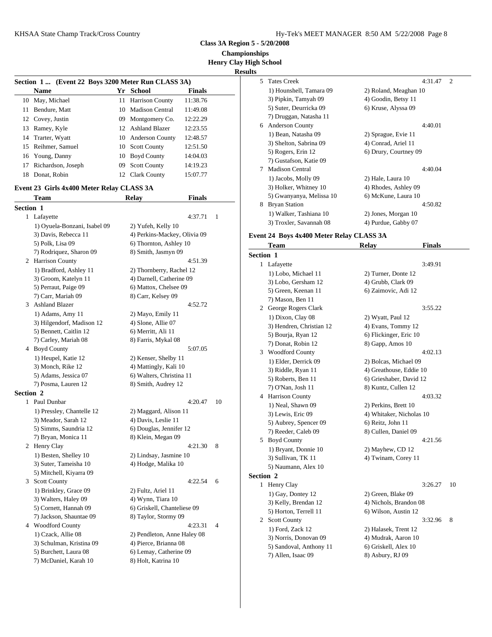|  |  |  | Hy-Tek's MEET MANAGER 8:50 AM 5/22/2008 Page 8 |  |  |  |
|--|--|--|------------------------------------------------|--|--|--|
|--|--|--|------------------------------------------------|--|--|--|

**Class 3A Region 5 - 5/20/2008**

**Championships Henry Clay High School**

**Results**

|     |                                                    |    |                     |               | <b>Kesults</b> |
|-----|----------------------------------------------------|----|---------------------|---------------|----------------|
|     | Section 1  (Event 22 Boys 3200 Meter Run CLASS 3A) |    |                     |               | 5              |
|     | <b>Name</b>                                        |    | Yr School           | <b>Finals</b> |                |
|     | 10 May, Michael                                    |    | 11 Harrison County  | 11:38.76      |                |
| 11. | Bendure, Matt                                      |    | 10 Madison Central  | 11:49.08      |                |
|     | 12 Covey, Justin                                   |    | 09 Montgomery Co.   | 12:22.29      |                |
|     | 13 Ramey, Kyle                                     |    | 12 Ashland Blazer   | 12:23.55      | 6<br>J.        |
|     | 14 Trarter, Wyatt                                  |    | 10 Anderson County  | 12:48.57      |                |
|     | 15 Reihmer, Samuel                                 |    | 10 Scott County     | 12:51.50      |                |
|     | 16 Young, Danny                                    |    | 10 Boyd County      | 14:04.03      |                |
| 17  | Richardson, Joseph                                 | 09 | <b>Scott County</b> | 14:19.23      |                |
| 18  | Donat, Robin                                       |    | 12 Clark County     | 15:07.77      |                |

### **Event 23 Girls 4x400 Meter Relay CLASS 3A**

|           | Team                         | <b>Relay</b><br><b>Finals</b> |                | אט (כ      |
|-----------|------------------------------|-------------------------------|----------------|------------|
| Section 1 |                              |                               |                | 8 Bryan    |
|           | 1 Lafayette                  | 4:37.71                       | $\mathbf{1}$   | $1)$ Wa    |
|           | 1) Oyuela-Bonzani, Isabel 09 | 2) Yufeh, Kelly 10            |                | 3) Tro     |
|           | 3) Davis, Rebecca 11         | 4) Perkins-Mackey, Olivia 09  |                | Event 24 B |
|           | 5) Polk, Lisa 09             | 6) Thornton, Ashley 10        |                | Tean       |
|           | 7) Rodriquez, Sharon 09      | 8) Smith, Jasmyn 09           |                | Section 1  |
|           | 2 Harrison County            | 4:51.39                       |                | 1 Lafay    |
|           | 1) Bradford, Ashley 11       | 2) Thornberry, Rachel 12      |                | $1)$ Lo    |
|           | 3) Groom, Katelyn 11         | 4) Darnell, Catherine 09      |                | $3)$ Lo    |
|           | 5) Perraut, Paige 09         | 6) Mattox, Chelsee 09         |                | $5)$ Gro   |
|           | 7) Carr, Mariah 09           | 8) Carr, Kelsey 09            |                | 7) Ma      |
| 3         | <b>Ashland Blazer</b>        | 4:52.72                       |                | 2 Georg    |
|           | 1) Adams, Amy 11             | 2) Mayo, Emily 11             |                | $1)$ Di:   |
|           | 3) Hilgendorf, Madison 12    | 4) Slone, Allie 07            |                | $3)$ He    |
|           | 5) Bennett, Caitlin 12       | 6) Merritt, Ali 11            |                | 5) Bo      |
|           | 7) Carley, Mariah 08         | 8) Farris, Mykal 08           |                | 7) Do      |
|           | 4 Boyd County                | 5:07.05                       |                | Wood<br>3  |
|           | 1) Heupel, Katie 12          | 2) Kenser, Shelby 11          |                | 1) Elo     |
|           | 3) Monch, Rike 12            | 4) Mattingly, Kali 10         |                | 3) Rio     |
|           | 5) Adams, Jessica 07         | 6) Walters, Christina 11      |                | 5) Ro      |
|           | 7) Posma, Lauren 12          | 8) Smith, Audrey 12           |                | 7) O'I     |
| Section 2 |                              |                               |                | 4 Harris   |
|           | 1 Paul Dunbar                | 4:20.47                       | 10             | $1)$ Ne    |
|           | 1) Pressley, Chantelle 12    | 2) Maggard, Alison 11         |                | $3)$ Le    |
|           | 3) Meador, Sarah 12          | 4) Davis, Leslie 11           |                | 5) Au      |
|           | 5) Simms, Saundria 12        | 6) Douglas, Jennifer 12       |                | 7) Re      |
|           | 7) Bryan, Monica 11          | 8) Klein, Megan 09            |                | 5<br>Boyd  |
|           | 2 Henry Clay                 | 4:21.30                       | 8              | $1)$ Br    |
|           | 1) Besten, Shelley 10        | 2) Lindsay, Jasmine 10        |                | $3)$ Sul   |
|           | 3) Suter, Tameisha 10        | 4) Hodge, Malika 10           |                | 5) Na      |
|           | 5) Mitchell, Kiyarra 09      |                               |                | Section 2  |
|           | 3 Scott County               | 4:22.54                       | 6              | 1 Henry    |
|           | 1) Brinkley, Grace 09        | 2) Fultz, Ariel 11            |                | 1) Ga      |
|           | 3) Walters, Haley 09         | 4) Wynn, Tiara 10             |                | 3) Ke      |
|           | 5) Cornett, Hannah 09        | 6) Griskell, Chanteliese 09   |                | 5) Ho      |
|           | 7) Jackson, Shauntae 09      | 8) Taylor, Stormy 09          |                | 2 Scott    |
| 4         | <b>Woodford County</b>       | 4:23.31                       | $\overline{4}$ | 1) Fo      |
|           | 1) Czack, Allie 08           | 2) Pendleton, Anne Haley 08   |                | 3) No      |
|           | 3) Schulman, Kristina 09     | 4) Pierce, Brianna 08         |                | 5) Sai     |
|           | 5) Burchett, Laura 08        | 6) Lemay, Catherine 09        |                | 7) All     |
|           | 7) McDaniel, Karah 10        | 8) Holt, Katrina 10           |                |            |

| 5. | <b>Tates Creek</b>       | 4:31.47<br>$\mathcal{D}_{\mathcal{L}}$ |
|----|--------------------------|----------------------------------------|
|    | 1) Hounshell, Tamara 09  | 2) Roland, Meaghan 10                  |
|    | 3) Pipkin, Tamyah 09     | 4) Goodin, Betsy 11                    |
|    | 5) Suter, Deurricka 09   | 6) Kruse, Alyssa 09                    |
|    | 7) Druggan, Natasha 11   |                                        |
| 6  | <b>Anderson County</b>   | 4:40.01                                |
|    | 1) Bean, Natasha 09      | 2) Sprague, Evie 11                    |
|    | 3) Shelton, Sabrina 09   | 4) Conrad, Ariel 11                    |
|    | 5) Rogers, Erin 12       | 6) Drury, Courtney 09                  |
|    | 7) Gustafson, Katie 09   |                                        |
| 7  | <b>Madison Central</b>   | 4:40.04                                |
|    | 1) Jacobs, Molly 09      | 2) Hale, Laura 10                      |
|    | 3) Holker, Whitney 10    | 4) Rhodes, Ashley 09                   |
|    | 5) Gwanyanya, Melissa 10 | 6) McKune, Laura 10                    |
| 8  | <b>Bryan Station</b>     | 4:50.82                                |
|    | 1) Walker, Tashiana 10   | 2) Jones, Morgan 10                    |
|    | 3) Troxler, Savannah 08  | 4) Purdue, Gabby 07                    |
|    |                          |                                        |

#### **Event 24 Boys 4x400 Meter Relay CLASS 3A**

| <b>Section 1</b><br>1 Lafayette<br>3:49.91<br>1) Lobo, Michael 11<br>2) Turner, Donte 12<br>3) Lobo, Gersham 12<br>4) Grubb, Clark 09<br>5) Green, Keenan 11<br>6) Zaimovic, Adi 12<br>7) Mason, Ben 11<br>2 George Rogers Clark<br>3:55.22<br>1) Dixon, Clay 08<br>2) Wyatt, Paul 12<br>3) Hendren, Christian 12<br>4) Evans, Tommy 12<br>5) Bourja, Ryan 12<br>6) Flickinger, Eric 10<br>7) Donat, Robin 12<br>8) Gapp, Amos 10<br>3 Woodford County<br>4:02.13<br>1) Elder, Derrick 09<br>2) Bolcas, Michael 09<br>4) Greathouse, Eddie 10<br>3) Riddle, Ryan 11<br>6) Grieshaber, David 12<br>5) Roberts, Ben 11<br>7) O'Nan, Josh 11<br>8) Kuntz, Cullen 12<br>4 Harrison County<br>4:03.32<br>1) Neal, Shawn 09<br>2) Perkins, Brett 10<br>3) Lewis, Eric 09<br>4) Whitaker, Nicholas 10<br>5) Aubrey, Spencer 09<br>6) Reitz, John 11<br>7) Reeder, Caleb 09<br>8) Cullen, Daniel 09<br>5 Boyd County<br>4:21.56<br>1) Bryant, Donnie 10<br>2) Mayhew, CD 12<br>3) Sullivan, TK 11<br>4) Twinam, Corey 11<br>5) Naumann, Alex 10<br><b>Section 2</b><br>1 Henry Clay<br>3:26.27<br>10<br>1) Gay, Dontey 12<br>2) Green, Blake 09<br>3) Kelly, Brendan 12<br>4) Nichols, Brandon 08<br>5) Horton, Terrell 11<br>6) Wilson, Austin 12<br>2 Scott County<br>3:32.96<br>8<br>1) Ford, Zack 12<br>2) Halasek, Trent 12<br>3) Norris, Donovan 09<br>4) Mudrak, Aaron 10<br>5) Sandoval, Anthony 11<br>6) Griskell, Alex 10 | <b>Team</b>        | <b>Relay</b>     | <b>Finals</b> |  |
|-----------------------------------------------------------------------------------------------------------------------------------------------------------------------------------------------------------------------------------------------------------------------------------------------------------------------------------------------------------------------------------------------------------------------------------------------------------------------------------------------------------------------------------------------------------------------------------------------------------------------------------------------------------------------------------------------------------------------------------------------------------------------------------------------------------------------------------------------------------------------------------------------------------------------------------------------------------------------------------------------------------------------------------------------------------------------------------------------------------------------------------------------------------------------------------------------------------------------------------------------------------------------------------------------------------------------------------------------------------------------------------------------------------------------------|--------------------|------------------|---------------|--|
|                                                                                                                                                                                                                                                                                                                                                                                                                                                                                                                                                                                                                                                                                                                                                                                                                                                                                                                                                                                                                                                                                                                                                                                                                                                                                                                                                                                                                             |                    |                  |               |  |
|                                                                                                                                                                                                                                                                                                                                                                                                                                                                                                                                                                                                                                                                                                                                                                                                                                                                                                                                                                                                                                                                                                                                                                                                                                                                                                                                                                                                                             |                    |                  |               |  |
|                                                                                                                                                                                                                                                                                                                                                                                                                                                                                                                                                                                                                                                                                                                                                                                                                                                                                                                                                                                                                                                                                                                                                                                                                                                                                                                                                                                                                             |                    |                  |               |  |
|                                                                                                                                                                                                                                                                                                                                                                                                                                                                                                                                                                                                                                                                                                                                                                                                                                                                                                                                                                                                                                                                                                                                                                                                                                                                                                                                                                                                                             |                    |                  |               |  |
|                                                                                                                                                                                                                                                                                                                                                                                                                                                                                                                                                                                                                                                                                                                                                                                                                                                                                                                                                                                                                                                                                                                                                                                                                                                                                                                                                                                                                             |                    |                  |               |  |
|                                                                                                                                                                                                                                                                                                                                                                                                                                                                                                                                                                                                                                                                                                                                                                                                                                                                                                                                                                                                                                                                                                                                                                                                                                                                                                                                                                                                                             |                    |                  |               |  |
|                                                                                                                                                                                                                                                                                                                                                                                                                                                                                                                                                                                                                                                                                                                                                                                                                                                                                                                                                                                                                                                                                                                                                                                                                                                                                                                                                                                                                             |                    |                  |               |  |
|                                                                                                                                                                                                                                                                                                                                                                                                                                                                                                                                                                                                                                                                                                                                                                                                                                                                                                                                                                                                                                                                                                                                                                                                                                                                                                                                                                                                                             |                    |                  |               |  |
|                                                                                                                                                                                                                                                                                                                                                                                                                                                                                                                                                                                                                                                                                                                                                                                                                                                                                                                                                                                                                                                                                                                                                                                                                                                                                                                                                                                                                             |                    |                  |               |  |
|                                                                                                                                                                                                                                                                                                                                                                                                                                                                                                                                                                                                                                                                                                                                                                                                                                                                                                                                                                                                                                                                                                                                                                                                                                                                                                                                                                                                                             |                    |                  |               |  |
|                                                                                                                                                                                                                                                                                                                                                                                                                                                                                                                                                                                                                                                                                                                                                                                                                                                                                                                                                                                                                                                                                                                                                                                                                                                                                                                                                                                                                             |                    |                  |               |  |
|                                                                                                                                                                                                                                                                                                                                                                                                                                                                                                                                                                                                                                                                                                                                                                                                                                                                                                                                                                                                                                                                                                                                                                                                                                                                                                                                                                                                                             |                    |                  |               |  |
|                                                                                                                                                                                                                                                                                                                                                                                                                                                                                                                                                                                                                                                                                                                                                                                                                                                                                                                                                                                                                                                                                                                                                                                                                                                                                                                                                                                                                             |                    |                  |               |  |
|                                                                                                                                                                                                                                                                                                                                                                                                                                                                                                                                                                                                                                                                                                                                                                                                                                                                                                                                                                                                                                                                                                                                                                                                                                                                                                                                                                                                                             |                    |                  |               |  |
|                                                                                                                                                                                                                                                                                                                                                                                                                                                                                                                                                                                                                                                                                                                                                                                                                                                                                                                                                                                                                                                                                                                                                                                                                                                                                                                                                                                                                             |                    |                  |               |  |
|                                                                                                                                                                                                                                                                                                                                                                                                                                                                                                                                                                                                                                                                                                                                                                                                                                                                                                                                                                                                                                                                                                                                                                                                                                                                                                                                                                                                                             |                    |                  |               |  |
|                                                                                                                                                                                                                                                                                                                                                                                                                                                                                                                                                                                                                                                                                                                                                                                                                                                                                                                                                                                                                                                                                                                                                                                                                                                                                                                                                                                                                             |                    |                  |               |  |
|                                                                                                                                                                                                                                                                                                                                                                                                                                                                                                                                                                                                                                                                                                                                                                                                                                                                                                                                                                                                                                                                                                                                                                                                                                                                                                                                                                                                                             |                    |                  |               |  |
|                                                                                                                                                                                                                                                                                                                                                                                                                                                                                                                                                                                                                                                                                                                                                                                                                                                                                                                                                                                                                                                                                                                                                                                                                                                                                                                                                                                                                             |                    |                  |               |  |
|                                                                                                                                                                                                                                                                                                                                                                                                                                                                                                                                                                                                                                                                                                                                                                                                                                                                                                                                                                                                                                                                                                                                                                                                                                                                                                                                                                                                                             |                    |                  |               |  |
|                                                                                                                                                                                                                                                                                                                                                                                                                                                                                                                                                                                                                                                                                                                                                                                                                                                                                                                                                                                                                                                                                                                                                                                                                                                                                                                                                                                                                             |                    |                  |               |  |
|                                                                                                                                                                                                                                                                                                                                                                                                                                                                                                                                                                                                                                                                                                                                                                                                                                                                                                                                                                                                                                                                                                                                                                                                                                                                                                                                                                                                                             |                    |                  |               |  |
|                                                                                                                                                                                                                                                                                                                                                                                                                                                                                                                                                                                                                                                                                                                                                                                                                                                                                                                                                                                                                                                                                                                                                                                                                                                                                                                                                                                                                             |                    |                  |               |  |
|                                                                                                                                                                                                                                                                                                                                                                                                                                                                                                                                                                                                                                                                                                                                                                                                                                                                                                                                                                                                                                                                                                                                                                                                                                                                                                                                                                                                                             |                    |                  |               |  |
|                                                                                                                                                                                                                                                                                                                                                                                                                                                                                                                                                                                                                                                                                                                                                                                                                                                                                                                                                                                                                                                                                                                                                                                                                                                                                                                                                                                                                             |                    |                  |               |  |
|                                                                                                                                                                                                                                                                                                                                                                                                                                                                                                                                                                                                                                                                                                                                                                                                                                                                                                                                                                                                                                                                                                                                                                                                                                                                                                                                                                                                                             |                    |                  |               |  |
|                                                                                                                                                                                                                                                                                                                                                                                                                                                                                                                                                                                                                                                                                                                                                                                                                                                                                                                                                                                                                                                                                                                                                                                                                                                                                                                                                                                                                             |                    |                  |               |  |
|                                                                                                                                                                                                                                                                                                                                                                                                                                                                                                                                                                                                                                                                                                                                                                                                                                                                                                                                                                                                                                                                                                                                                                                                                                                                                                                                                                                                                             |                    |                  |               |  |
|                                                                                                                                                                                                                                                                                                                                                                                                                                                                                                                                                                                                                                                                                                                                                                                                                                                                                                                                                                                                                                                                                                                                                                                                                                                                                                                                                                                                                             |                    |                  |               |  |
|                                                                                                                                                                                                                                                                                                                                                                                                                                                                                                                                                                                                                                                                                                                                                                                                                                                                                                                                                                                                                                                                                                                                                                                                                                                                                                                                                                                                                             |                    |                  |               |  |
|                                                                                                                                                                                                                                                                                                                                                                                                                                                                                                                                                                                                                                                                                                                                                                                                                                                                                                                                                                                                                                                                                                                                                                                                                                                                                                                                                                                                                             |                    |                  |               |  |
|                                                                                                                                                                                                                                                                                                                                                                                                                                                                                                                                                                                                                                                                                                                                                                                                                                                                                                                                                                                                                                                                                                                                                                                                                                                                                                                                                                                                                             |                    |                  |               |  |
|                                                                                                                                                                                                                                                                                                                                                                                                                                                                                                                                                                                                                                                                                                                                                                                                                                                                                                                                                                                                                                                                                                                                                                                                                                                                                                                                                                                                                             |                    |                  |               |  |
|                                                                                                                                                                                                                                                                                                                                                                                                                                                                                                                                                                                                                                                                                                                                                                                                                                                                                                                                                                                                                                                                                                                                                                                                                                                                                                                                                                                                                             |                    |                  |               |  |
|                                                                                                                                                                                                                                                                                                                                                                                                                                                                                                                                                                                                                                                                                                                                                                                                                                                                                                                                                                                                                                                                                                                                                                                                                                                                                                                                                                                                                             | 7) Allen, Isaac 09 | 8) Asbury, RJ 09 |               |  |